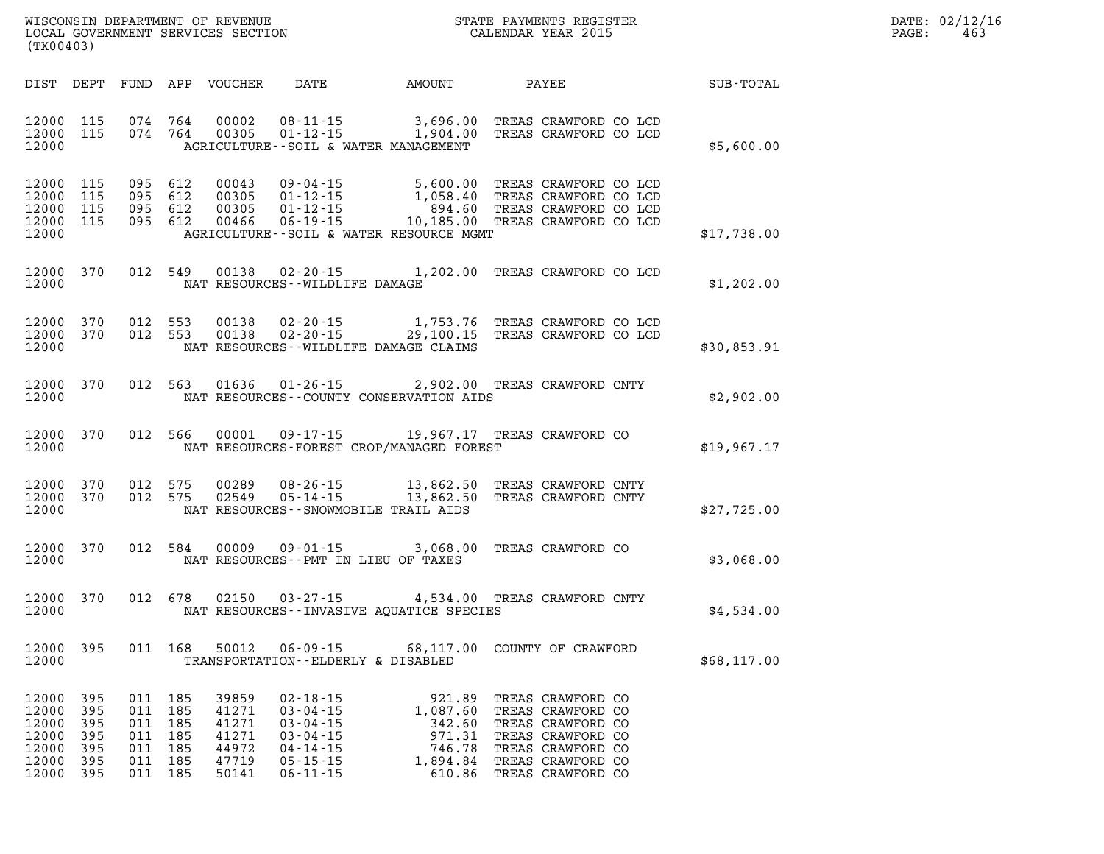| WISCONSIN DEPARTMENT OF REVENUE      | PAYMENTS REGISTER<br>3TATE | DATE: | 02/12/16 |
|--------------------------------------|----------------------------|-------|----------|
| LOCAL<br>GOVERNMENT SERVICES SECTION | CALENDAR YEAR 2015         | PAGE  | 463      |

| DIST                                               | DEPT                                   | FUND                                   | APP                                    | VOUCHER                                            | DATE                                                                                                     | <b>AMOUNT</b>                                                                          | <b>PAYEE</b>                                                                                                               | SUB-TOTAL   |
|----------------------------------------------------|----------------------------------------|----------------------------------------|----------------------------------------|----------------------------------------------------|----------------------------------------------------------------------------------------------------------|----------------------------------------------------------------------------------------|----------------------------------------------------------------------------------------------------------------------------|-------------|
| 12000<br>12000<br>12000                            | 115<br>115                             | 074<br>074                             | 764<br>764                             | 00002<br>00305                                     |                                                                                                          | 08-11-15 3,696.00<br>01-12-15 1,904.00<br>AGRICULTURE--SOIL & WATER MANAGEMENT         | TREAS CRAWFORD CO LCD<br>TREAS CRAWFORD CO LCD                                                                             | \$5,600.00  |
| 12000<br>12000<br>12000<br>12000<br>12000          | 115<br>115<br>115<br>115               | 095<br>095<br>095<br>095               | 612<br>612<br>612<br>612               | 00043<br>00305<br>00305<br>00466                   | $09 - 04 - 15$<br>$01 - 12 - 15$<br>$01 - 12 - 15$<br>$06 - 19 - 15$                                     | 5,600.00<br>1,058.40<br>894.60<br>10,185.00<br>AGRICULTURE--SOIL & WATER RESOURCE MGMT | TREAS CRAWFORD CO LCD<br>TREAS CRAWFORD CO LCD<br>TREAS CRAWFORD CO LCD<br>TREAS CRAWFORD CO LCD                           | \$17,738.00 |
| 12000<br>12000                                     | 370                                    | 012                                    | 549                                    | 00138                                              | NAT RESOURCES - - WILDLIFE DAMAGE                                                                        | $02 - 20 - 15$ 1, 202.00                                                               | TREAS CRAWFORD CO LCD                                                                                                      | \$1,202.00  |
| 12000<br>12000<br>12000                            | 370<br>370                             | 012<br>012                             | 553<br>553                             | 00138<br>00138                                     | $02 - 20 - 15$<br>$02 - 20 - 15$                                                                         | 1,753.76<br>29,100.15<br>NAT RESOURCES - - WILDLIFE DAMAGE CLAIMS                      | TREAS CRAWFORD CO LCD<br>TREAS CRAWFORD CO LCD                                                                             | \$30,853.91 |
| 12000<br>12000                                     | 370                                    | 012                                    | 563                                    | 01636                                              | $01 - 26 - 15$                                                                                           | 2,902.00<br>NAT RESOURCES - COUNTY CONSERVATION AIDS                                   | TREAS CRAWFORD CNTY                                                                                                        | \$2,902.00  |
| 12000<br>12000                                     | 370                                    | 012                                    | 566                                    | 00001                                              | $09 - 17 - 15$                                                                                           | NAT RESOURCES-FOREST CROP/MANAGED FOREST                                               | 19,967.17 TREAS CRAWFORD CO                                                                                                | \$19,967.17 |
| 12000<br>12000<br>12000                            | 370<br>370                             | 012<br>012                             | 575<br>575                             | 00289<br>02549                                     | $08 - 26 - 15$<br>$05 - 14 - 15$                                                                         | 13,862.50<br>13,862.50<br>NAT RESOURCES - - SNOWMOBILE TRAIL AIDS                      | TREAS CRAWFORD CNTY<br>TREAS CRAWFORD CNTY                                                                                 | \$27,725.00 |
| 12000<br>12000                                     | 370                                    | 012                                    | 584                                    | 00009                                              | $09 - 01 - 15$                                                                                           | 3,068.00<br>NAT RESOURCES - PMT IN LIEU OF TAXES                                       | TREAS CRAWFORD CO                                                                                                          | \$3,068.00  |
| 12000<br>12000                                     | 370                                    | 012                                    | 678                                    | 02150                                              | $03 - 27 - 15$                                                                                           | NAT RESOURCES -- INVASIVE AQUATICE SPECIES                                             | 4,534.00 TREAS CRAWFORD CNTY                                                                                               | \$4,534.00  |
| 12000<br>12000                                     | 395                                    | 011                                    | 168                                    | 50012                                              | TRANSPORTATION--ELDERLY & DISABLED                                                                       | $06 - 09 - 15$ 68, 117.00                                                              | COUNTY OF CRAWFORD                                                                                                         | \$68,117.00 |
| 12000<br>12000<br>12000<br>12000<br>12000<br>12000 | 395<br>395<br>395<br>395<br>395<br>395 | 011<br>011<br>011<br>011<br>011<br>011 | 185<br>185<br>185<br>185<br>185<br>185 | 39859<br>41271<br>41271<br>41271<br>44972<br>47719 | $02 - 18 - 15$<br>$03 - 04 - 15$<br>$03 - 04 - 15$<br>$03 - 04 - 15$<br>$04 - 14 - 15$<br>$05 - 15 - 15$ | 921.89<br>1,087.60<br>342.60<br>971.31<br>746.78<br>1,894.84                           | TREAS CRAWFORD CO<br>TREAS CRAWFORD CO<br>TREAS CRAWFORD CO<br>TREAS CRAWFORD CO<br>TREAS CRAWFORD CO<br>TREAS CRAWFORD CO |             |

**12000 395 011 185 50141 06-11-15 610.86 TREAS CRAWFORD CO** 

**(TX00403)**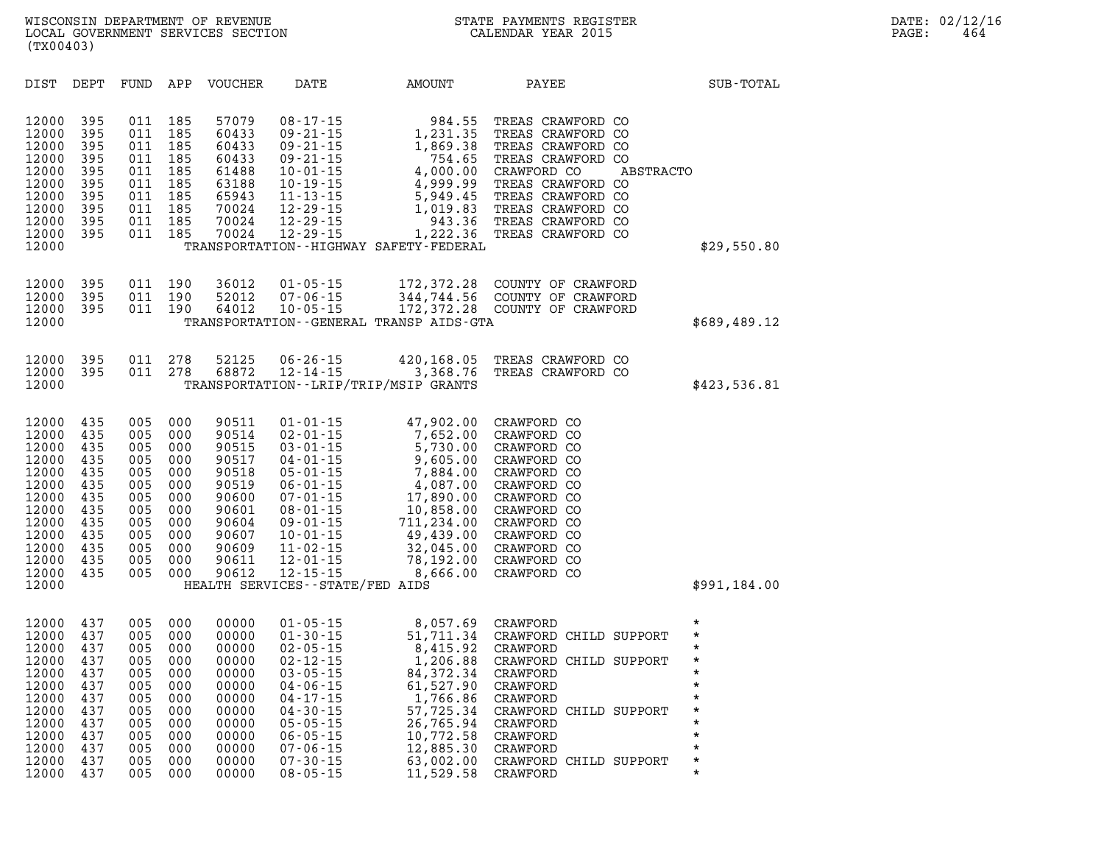| DIST                                                                                                                       | DEPT                                                                                    | FUND                                                                                    | APP                                                                                     | <b>VOUCHER</b>                                                                                                    | DATE                                                                                                                                                                                                                                                                      | AMOUNT                                                                                                                                                           | PAYEE                                                                                                                                                                                                    | SUB-TOTAL                                                                                                                           |
|----------------------------------------------------------------------------------------------------------------------------|-----------------------------------------------------------------------------------------|-----------------------------------------------------------------------------------------|-----------------------------------------------------------------------------------------|-------------------------------------------------------------------------------------------------------------------|---------------------------------------------------------------------------------------------------------------------------------------------------------------------------------------------------------------------------------------------------------------------------|------------------------------------------------------------------------------------------------------------------------------------------------------------------|----------------------------------------------------------------------------------------------------------------------------------------------------------------------------------------------------------|-------------------------------------------------------------------------------------------------------------------------------------|
| 12000<br>12000<br>12000<br>12000<br>12000<br>12000<br>12000<br>12000<br>12000<br>12000<br>12000                            | 395<br>395<br>395<br>395<br>395<br>395<br>395<br>395<br>395<br>395                      | 011<br>011<br>011<br>011<br>011<br>011<br>011<br>011<br>011<br>011                      | 185<br>185<br>185<br>185<br>185<br>185<br>185<br>185<br>185<br>185                      | 57079<br>60433<br>60433<br>60433<br>61488<br>63188<br>65943<br>70024<br>70024<br>70024                            | $08 - 17 - 15$<br>$09 - 21 - 15$<br>$09 - 21 - 15$<br>$09 - 21 - 15$<br>$10 - 01 - 15$<br>$10 - 19 - 15$<br>$11 - 13 - 15$<br>$12 - 29 - 15$<br>$12 - 29 - 15$<br>$12 - 29 - 15$                                                                                          | 984.55<br>1,231.35<br>1,869.38<br>754.65<br>4,000.00<br>4,999.99<br>5,949.45<br>1,019.83<br>943.36<br>1,222.36<br>TRANSPORTATION - - HIGHWAY SAFETY - FEDERAL    | TREAS CRAWFORD CO<br>TREAS CRAWFORD CO<br>TREAS CRAWFORD CO<br>TREAS CRAWFORD CO<br>CRAWFORD CO<br>TREAS CRAWFORD CO<br>TREAS CRAWFORD CO<br>TREAS CRAWFORD CO<br>TREAS CRAWFORD CO<br>TREAS CRAWFORD CO | ABSTRACTO<br>\$29,550.80                                                                                                            |
| 12000<br>12000<br>12000<br>12000                                                                                           | 395<br>395<br>395                                                                       | 011<br>011<br>011                                                                       | 190<br>190<br>190                                                                       | 36012<br>52012<br>64012                                                                                           | $01 - 05 - 15$<br>$07 - 06 - 15$<br>$10 - 05 - 15$                                                                                                                                                                                                                        | 172,372.28<br>344,744.56<br>172,372.28<br>TRANSPORTATION--GENERAL TRANSP AIDS-GTA                                                                                | COUNTY OF CRAWFORD<br>COUNTY OF CRAWFORD<br>COUNTY OF CRAWFORD                                                                                                                                           | \$689,489.12                                                                                                                        |
| 12000<br>12000<br>12000                                                                                                    | 395<br>395                                                                              | 011<br>011                                                                              | 278<br>278                                                                              | 52125<br>68872                                                                                                    | $06 - 26 - 15$<br>$12 - 14 - 15$                                                                                                                                                                                                                                          | 420,168.05<br>3,368.76<br>TRANSPORTATION - - LRIP/TRIP/MSIP GRANTS                                                                                               | TREAS CRAWFORD CO<br>TREAS CRAWFORD CO                                                                                                                                                                   | \$423,536.81                                                                                                                        |
| 12000<br>12000<br>12000<br>12000<br>12000<br>12000<br>12000<br>12000<br>12000<br>12000<br>12000<br>12000<br>12000<br>12000 | 435<br>435<br>435<br>435<br>435<br>435<br>435<br>435<br>435<br>435<br>435<br>435<br>435 | 005<br>005<br>005<br>005<br>005<br>005<br>005<br>005<br>005<br>005<br>005<br>005<br>005 | 000<br>000<br>000<br>000<br>000<br>000<br>000<br>000<br>000<br>000<br>000<br>000<br>000 | 90511<br>90514<br>90515<br>90517<br>90518<br>90519<br>90600<br>90601<br>90604<br>90607<br>90609<br>90611<br>90612 | $01 - 01 - 15$<br>$02 - 01 - 15$<br>$03 - 01 - 15$<br>$04 - 01 - 15$<br>$05 - 01 - 15$<br>$06 - 01 - 15$<br>$07 - 01 - 15$<br>$08 - 01 - 15$<br>$09 - 01 - 15$<br>$10 - 01 - 15$<br>$11 - 02 - 15$<br>$12 - 01 - 15$<br>$12 - 15 - 15$<br>HEALTH SERVICES--STATE/FED AIDS | 47,902.00<br>7,652.00<br>5,730.00<br>9,605.00<br>7,884.00<br>4,087.00<br>17,890.00<br>10,858.00<br>711,234.00<br>49,439.00<br>32,045.00<br>78,192.00<br>8,666.00 | CRAWFORD CO<br>CRAWFORD CO<br>CRAWFORD CO<br>CRAWFORD CO<br>CRAWFORD CO<br>CRAWFORD CO<br>CRAWFORD CO<br>CRAWFORD CO<br>CRAWFORD CO<br>CRAWFORD CO<br>CRAWFORD CO<br>CRAWFORD CO<br>CRAWFORD CO          | \$991,184.00                                                                                                                        |
| 12000<br>12000<br>12000<br>12000<br>12000<br>12000<br>12000<br>12000<br>12000<br>12000<br>12000<br>12000                   | 437<br>437<br>437<br>437<br>437<br>437<br>437<br>437<br>437<br>437<br>437<br>437        | 005<br>005<br>005<br>005<br>005<br>005<br>005<br>005<br>005<br>005<br>005<br>005        | 000<br>000<br>000<br>000<br>000<br>000<br>000<br>000<br>000<br>000<br>000<br>000        | 00000<br>00000<br>00000<br>00000<br>00000<br>00000<br>00000<br>00000<br>00000<br>00000<br>00000<br>00000          | $01 - 05 - 15$<br>$01 - 30 - 15$<br>$02 - 05 - 15$<br>$02 - 12 - 15$<br>$03 - 05 - 15$<br>$04 - 06 - 15$<br>$04 - 17 - 15$<br>$04 - 30 - 15$<br>$05 - 05 - 15$<br>$06 - 05 - 15$<br>$07 - 06 - 15$<br>$07 - 30 - 15$                                                      | 8,057.69<br>51,711.34<br>8,415.92<br>1,206.88<br>84, 372. 34<br>61,527.90<br>1,766.86<br>57,725.34<br>26,765.94<br>10,772.58<br>12,885.30<br>63,002.00           | CRAWFORD<br>CRAWFORD CHILD SUPPORT<br>CRAWFORD<br>CRAWFORD CHILD SUPPORT<br>CRAWFORD<br>CRAWFORD<br>CRAWFORD<br>CRAWFORD CHILD SUPPORT<br>CRAWFORD<br>CRAWFORD<br>CRAWFORD<br>CRAWFORD CHILD SUPPORT     | $\star$<br>$^\star$<br>$^\star$<br>$\star$<br>$\star$<br>$\star$<br>$\star$<br>$^\star$<br>$\star$<br>$\star$<br>$\star$<br>$\star$ |

**12000 437 005 000 00000 08-05-15 11,529.58 CRAWFORD \***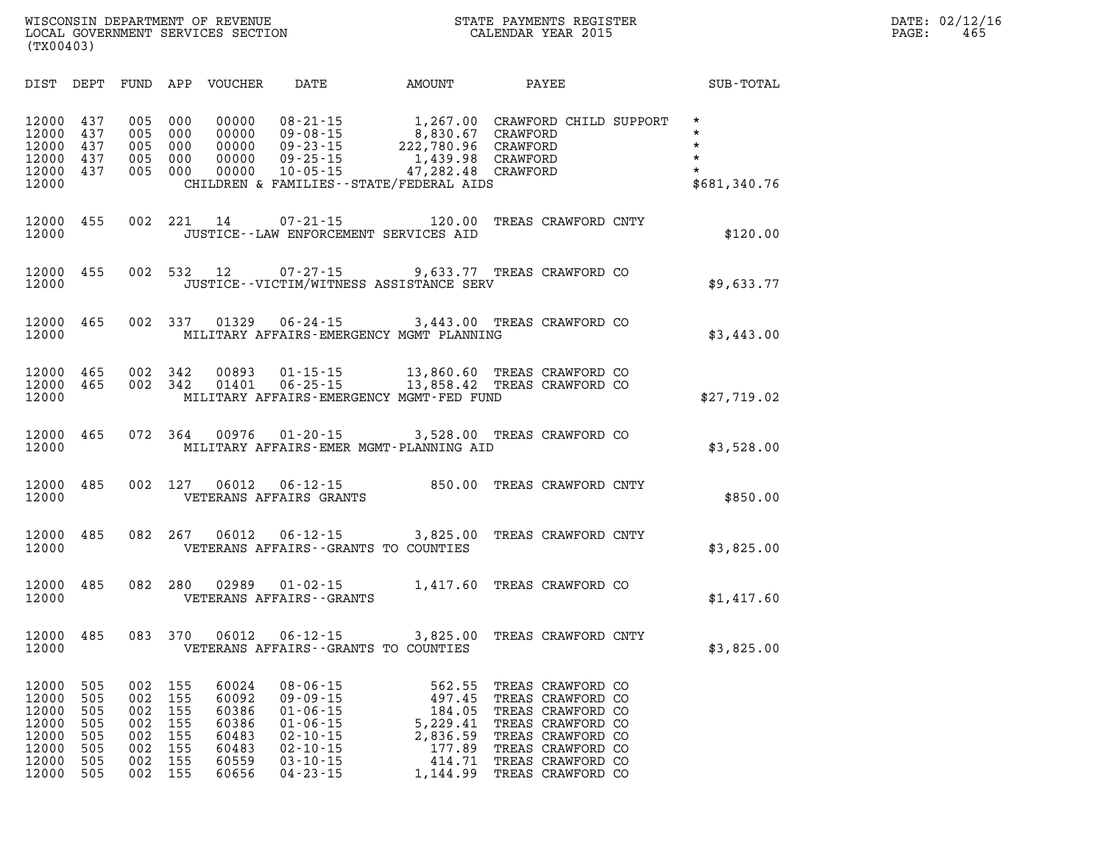|           | WISCONSIN DEPARTMENT OF REVENUE   |  |  |  |
|-----------|-----------------------------------|--|--|--|
|           | LOCAL GOVERNMENT SERVICES SECTION |  |  |  |
| (TX00403) |                                   |  |  |  |

## **WIGCONSIN DEPAYMENTS REGISTER CALENDAR YEAR 2015 CALENDAR YEAR 2015** CALENDAR YEAR 2015

| DIST                                                                 | DEPT                                                 | FUND                                                 | APP                                                  | VOUCHER                                                              | DATE                                                                                                                                         | AMOUNT                                                                                                    | PAYEE                                                                                                                                                                | SUB-TOTAL                                                           |
|----------------------------------------------------------------------|------------------------------------------------------|------------------------------------------------------|------------------------------------------------------|----------------------------------------------------------------------|----------------------------------------------------------------------------------------------------------------------------------------------|-----------------------------------------------------------------------------------------------------------|----------------------------------------------------------------------------------------------------------------------------------------------------------------------|---------------------------------------------------------------------|
| 12000<br>12000<br>12000<br>12000<br>12000<br>12000                   | 437<br>437<br>437<br>437<br>437                      | 005<br>005<br>005<br>005<br>005                      | 000<br>000<br>000<br>000<br>000                      | 00000<br>00000<br>00000<br>00000<br>00000                            | $08 - 21 - 15$<br>$09 - 08 - 15$<br>$09 - 23 - 15$<br>$09 - 25 - 15$<br>$10 - 05 - 15$                                                       | 1,267.00<br>8,830.67<br>222,780.96<br>1,439.98<br>47,282.48<br>CHILDREN & FAMILIES - - STATE/FEDERAL AIDS | CRAWFORD CHILD SUPPORT<br>CRAWFORD<br>CRAWFORD<br>CRAWFORD<br>CRAWFORD                                                                                               | $\star$<br>$\star$<br>$\star$<br>$\star$<br>$\star$<br>\$681,340.76 |
| 12000<br>12000                                                       | 455                                                  | 002                                                  | 221                                                  | 14                                                                   | $07 - 21 - 15$                                                                                                                               | 120.00<br>JUSTICE -- LAW ENFORCEMENT SERVICES AID                                                         | TREAS CRAWFORD CNTY                                                                                                                                                  | \$120.00                                                            |
| 12000<br>12000                                                       | 455                                                  | 002                                                  | 532                                                  | 12                                                                   | $07 - 27 - 15$                                                                                                                               | JUSTICE--VICTIM/WITNESS ASSISTANCE SERV                                                                   | 9,633.77 TREAS CRAWFORD CO                                                                                                                                           | \$9,633.77                                                          |
| 12000<br>12000                                                       | 465                                                  | 002                                                  | 337                                                  | 01329                                                                | $06 - 24 - 15$                                                                                                                               | MILITARY AFFAIRS-EMERGENCY MGMT PLANNING                                                                  | 3,443.00 TREAS CRAWFORD CO                                                                                                                                           | \$3,443.00                                                          |
| 12000<br>12000<br>12000                                              | 465<br>465                                           | 002<br>002                                           | 342<br>342                                           | 00893<br>01401                                                       | $01 - 15 - 15$<br>$06 - 25 - 15$                                                                                                             | 13,860.60<br>MILITARY AFFAIRS-EMERGENCY MGMT-FED FUND                                                     | TREAS CRAWFORD CO<br>13,858.42 TREAS CRAWFORD CO                                                                                                                     | \$27,719.02                                                         |
| 12000<br>12000                                                       | 465                                                  | 072                                                  | 364                                                  | 00976                                                                | $01 - 20 - 15$                                                                                                                               | 3,528.00<br>MILITARY AFFAIRS-EMER MGMT-PLANNING AID                                                       | TREAS CRAWFORD CO                                                                                                                                                    | \$3,528.00                                                          |
| 12000<br>12000                                                       | 485                                                  | 002                                                  | 127                                                  | 06012                                                                | $06 - 12 - 15$<br>VETERANS AFFAIRS GRANTS                                                                                                    | 850.00                                                                                                    | TREAS CRAWFORD CNTY                                                                                                                                                  | \$850.00                                                            |
| 12000<br>12000                                                       | 485                                                  | 082                                                  | 267                                                  | 06012                                                                | $06 - 12 - 15$                                                                                                                               | 3,825.00<br>VETERANS AFFAIRS -- GRANTS TO COUNTIES                                                        | TREAS CRAWFORD CNTY                                                                                                                                                  | \$3,825.00                                                          |
| 12000<br>12000                                                       | 485                                                  | 082                                                  | 280                                                  | 02989                                                                | $01 - 02 - 15$<br>VETERANS AFFAIRS - - GRANTS                                                                                                | 1,417.60                                                                                                  | TREAS CRAWFORD CO                                                                                                                                                    | \$1,417.60                                                          |
| 12000<br>12000                                                       | 485                                                  | 083                                                  | 370                                                  | 06012                                                                | $06 - 12 - 15$                                                                                                                               | 3,825.00<br>VETERANS AFFAIRS - - GRANTS TO COUNTIES                                                       | TREAS CRAWFORD CNTY                                                                                                                                                  | \$3,825.00                                                          |
| 12000<br>12000<br>12000<br>12000<br>12000<br>12000<br>12000<br>12000 | 505<br>505<br>505<br>505<br>505<br>505<br>505<br>505 | 002<br>002<br>002<br>002<br>002<br>002<br>002<br>002 | 155<br>155<br>155<br>155<br>155<br>155<br>155<br>155 | 60024<br>60092<br>60386<br>60386<br>60483<br>60483<br>60559<br>60656 | $08 - 06 - 15$<br>$09 - 09 - 15$<br>$01 - 06 - 15$<br>$01 - 06 - 15$<br>$02 - 10 - 15$<br>$02 - 10 - 15$<br>$03 - 10 - 15$<br>$04 - 23 - 15$ | 562.55<br>497.45<br>184.05<br>5,229.41<br>2,836.59<br>177.89<br>414.71<br>1,144.99                        | TREAS CRAWFORD CO<br>TREAS CRAWFORD CO<br>TREAS CRAWFORD CO<br>TREAS CRAWFORD CO<br>TREAS CRAWFORD CO<br>TREAS CRAWFORD CO<br>TREAS CRAWFORD CO<br>TREAS CRAWFORD CO |                                                                     |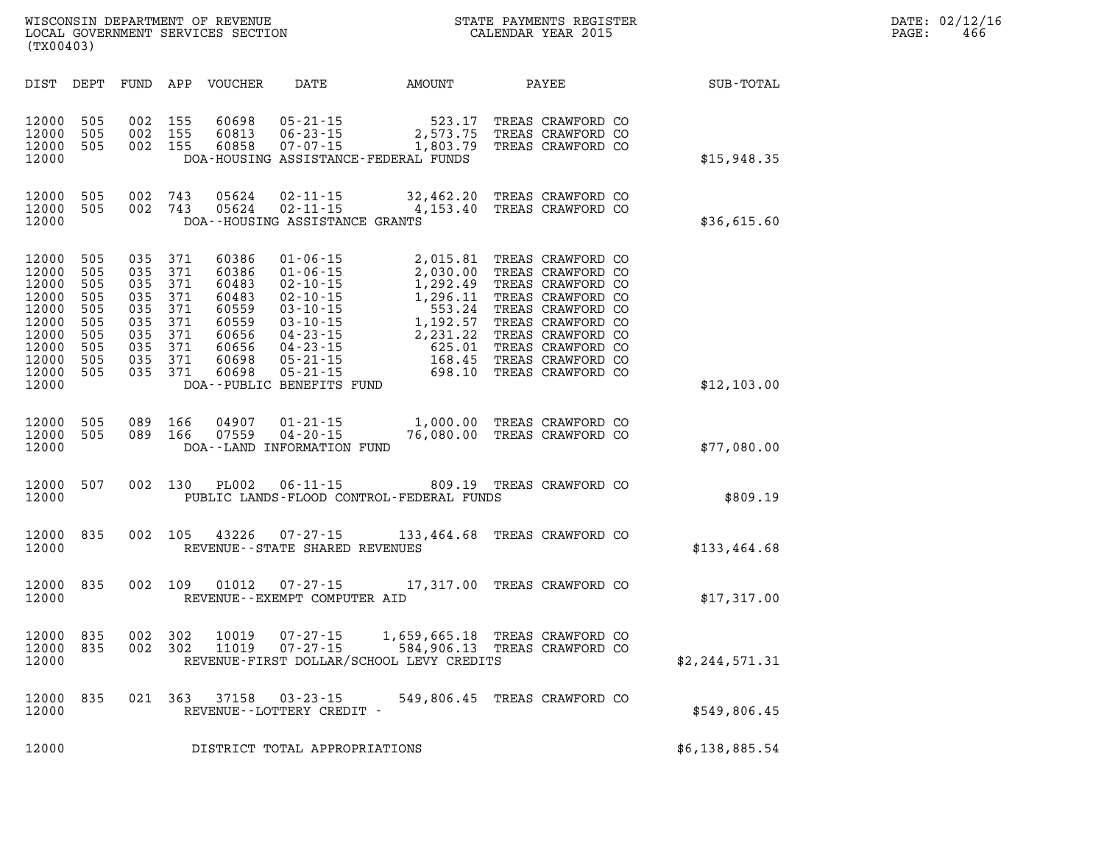| WISCONSIN DEPARTMENT OF REVENUE   | PAYMENTS REGISTER<br>3TATE | DATE: | 02/12/16 |
|-----------------------------------|----------------------------|-------|----------|
| LOCAL GOVERNMENT SERVICES SECTION | CALENDAR YEAR 2015         | PAGE  | 466      |

| LOCAL GOVERNMENT SERVICES SECTION<br>(TX00403)                                                                                                                                                                                                                                                                                                                                                                                                          | <b>CALENDAR YEAR 2015</b>                                                                                                                                                                                                                                           |                                                                    |                | PAGE: | 466 |
|---------------------------------------------------------------------------------------------------------------------------------------------------------------------------------------------------------------------------------------------------------------------------------------------------------------------------------------------------------------------------------------------------------------------------------------------------------|---------------------------------------------------------------------------------------------------------------------------------------------------------------------------------------------------------------------------------------------------------------------|--------------------------------------------------------------------|----------------|-------|-----|
| DIST DEPT<br>FUND APP VOUCHER<br>DATE                                                                                                                                                                                                                                                                                                                                                                                                                   | AMOUNT                                                                                                                                                                                                                                                              | PAYEE                                                              | SUB-TOTAL      |       |     |
| 12000<br>505<br>002 155<br>60698<br>$05 - 21 - 15$<br>$06 - 23 - 15$<br>12000<br>505<br>002 155<br>60813<br>12000<br>505<br>002 155<br>60858<br>12000                                                                                                                                                                                                                                                                                                   | 2,573.75<br>06-23-15<br>07-07-15 1,803.79<br>DOA-HOUSING ASSISTANCE-FEDERAL FUNDS                                                                                                                                                                                   | 523.17 TREAS CRAWFORD CO<br>TREAS CRAWFORD CO<br>TREAS CRAWFORD CO | \$15,948.35    |       |     |
| 12000<br>505<br>002 743<br>505<br>12000<br>002 743<br>12000<br>DOA--HOUSING ASSISTANCE GRANTS                                                                                                                                                                                                                                                                                                                                                           | 05624  02-11-15  32,462.20 TREAS CRAWFORD CO<br>05624  02-11-15  4,153.40 TREAS CRAWFORD CO                                                                                                                                                                         |                                                                    | \$36,615.60    |       |     |
| 505<br>035 371<br>12000<br>60386<br>$01 - 06 - 15$<br>505<br>035<br>371<br>12000<br>60386<br>$01 - 06 - 15$<br>035<br>12000<br>505<br>371<br>60483<br>505<br>035 371<br>12000<br>60483<br>505<br>035<br>12000<br>371<br>60559<br>12000<br>505<br>035 371<br>60559<br>12000<br>505<br>035 371<br>60656<br>035 371<br>12000<br>505<br>60656<br>035 371<br>12000<br>505<br>60698<br>035 371<br>12000<br>505<br>60698<br>12000<br>DOA--PUBLIC BENEFITS FUND | 01-06-15<br>02-10-15<br>02-10-15<br>1,292.49<br>1,292.49<br>TREAS CRAWFORD CO<br>03-10-15<br>1,296.11<br>TREAS CRAWFORD CO<br>03-10-15<br>1,192.57<br>TREAS CRAWFORD CO<br>04-23-15<br>2,231.22<br>TREAS CRAWFORD CO<br>04-23-15<br>625.01<br>TREAS CRAWFORD CO<br> | 2,015.81 TREAS CRAWFORD CO<br>2,030.00 TREAS CRAWFORD CO           | \$12,103.00    |       |     |
| 505<br>12000<br>089 166<br>04907<br>12000<br>505<br>089 166<br>07559<br>$04 - 20 - 15$<br>12000<br>DOA--LAND INFORMATION FUND                                                                                                                                                                                                                                                                                                                           | 01-21-15 1,000.00 TREAS CRAWFORD CO<br>76,080.00 TREAS CRAWFORD CO                                                                                                                                                                                                  |                                                                    | \$77,080.00    |       |     |
| 507<br>002 130<br><b>PL002</b><br>$06 - 11 - 15$<br>12000<br>12000                                                                                                                                                                                                                                                                                                                                                                                      | PUBLIC LANDS-FLOOD CONTROL-FEDERAL FUNDS                                                                                                                                                                                                                            | 809.19 TREAS CRAWFORD CO                                           | \$809.19       |       |     |
| 43226<br>12000 835<br>002 105<br>12000<br>REVENUE - - STATE SHARED REVENUES                                                                                                                                                                                                                                                                                                                                                                             | 07-27-15 133,464.68 TREAS CRAWFORD CO                                                                                                                                                                                                                               |                                                                    | \$133,464.68   |       |     |
| 12000 835<br>002 109<br>01012<br>12000<br>REVENUE--EXEMPT COMPUTER AID                                                                                                                                                                                                                                                                                                                                                                                  | 07-27-15 17,317.00 TREAS CRAWFORD CO                                                                                                                                                                                                                                |                                                                    | \$17,317.00    |       |     |
| 12000<br>835<br>002<br>302<br>10019<br>$07 - 27 - 15$<br>12000<br>002 302<br>11019<br>$07 - 27 - 15$<br>835<br>12000                                                                                                                                                                                                                                                                                                                                    | REVENUE-FIRST DOLLAR/SCHOOL LEVY CREDITS                                                                                                                                                                                                                            | 1,659,665.18 TREAS CRAWFORD CO<br>584,906.13 TREAS CRAWFORD CO     | \$2,244,571.31 |       |     |
| 12000 835<br>021 363<br>37158<br>03-23-15<br>12000<br>REVENUE--LOTTERY CREDIT -                                                                                                                                                                                                                                                                                                                                                                         |                                                                                                                                                                                                                                                                     | 549,806.45 TREAS CRAWFORD CO                                       | \$549,806.45   |       |     |
| 12000<br>DISTRICT TOTAL APPROPRIATIONS                                                                                                                                                                                                                                                                                                                                                                                                                  |                                                                                                                                                                                                                                                                     |                                                                    | \$6,138,885.54 |       |     |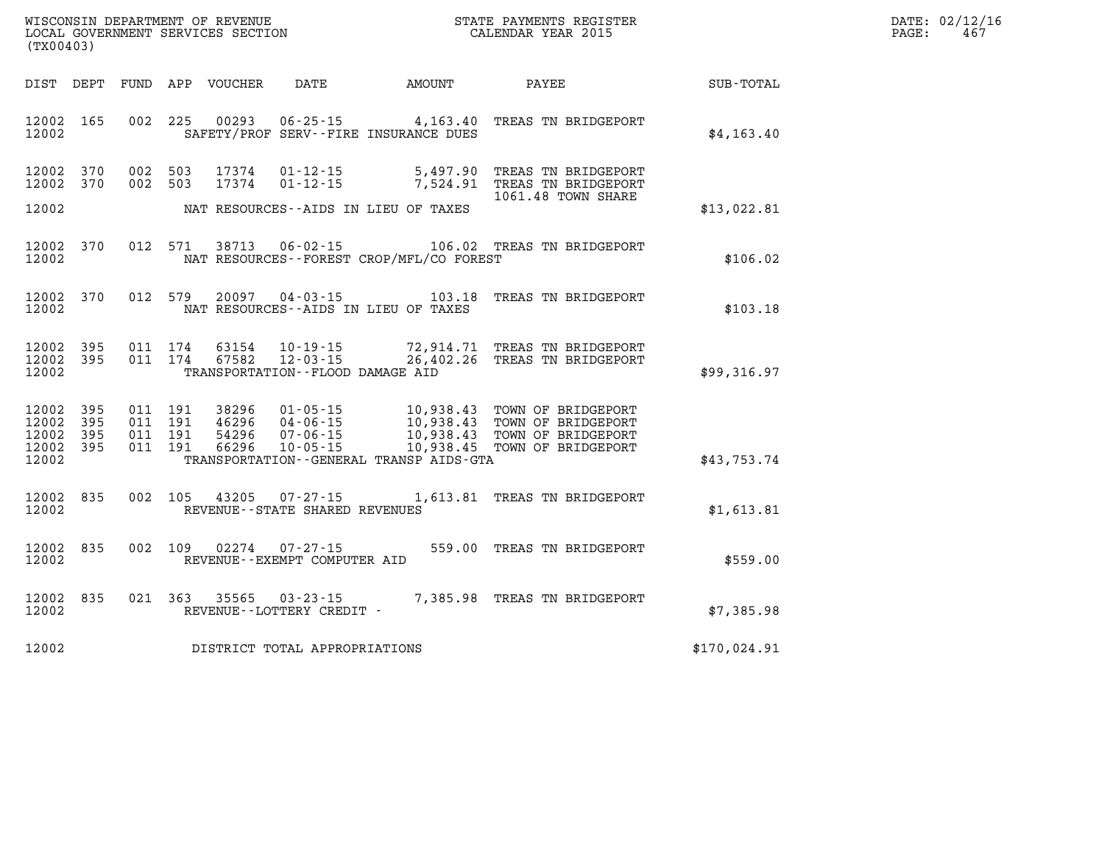| WISCONSIN DEPARTMENT OF REVENUE   | STATE PAYMENTS REGISTER | DATE: | : 02/12/16 |
|-----------------------------------|-------------------------|-------|------------|
| LOCAL GOVERNMENT SERVICES SECTION | CALENDAR YEAR 2015      | PAGE  | 46         |

| (TX00403)                                                             |                          |                          |                                  |                                                                        |                                                                                                  |                                                                                      |              |
|-----------------------------------------------------------------------|--------------------------|--------------------------|----------------------------------|------------------------------------------------------------------------|--------------------------------------------------------------------------------------------------|--------------------------------------------------------------------------------------|--------------|
| DEPT<br>DIST                                                          | FUND                     | APP                      | VOUCHER                          | DATE                                                                   | AMOUNT                                                                                           | PAYEE                                                                                | SUB-TOTAL    |
| 165<br>12002<br>12002                                                 | 002                      | 225                      | 00293                            | $06 - 25 - 15$                                                         | 4,163.40<br>SAFETY/PROF SERV--FIRE INSURANCE DUES                                                | TREAS TN BRIDGEPORT                                                                  | \$4, 163.40  |
| 12002<br>370<br>12002<br>370                                          | 002<br>002               | 503<br>503               | 17374<br>17374                   | $01 - 12 - 15$<br>$01 - 12 - 15$                                       | 5,497.90<br>7,524.91                                                                             | TREAS TN BRIDGEPORT<br>TREAS TN BRIDGEPORT<br>1061.48 TOWN SHARE                     |              |
| 12002                                                                 |                          |                          |                                  |                                                                        | NAT RESOURCES -- AIDS IN LIEU OF TAXES                                                           |                                                                                      | \$13,022.81  |
| 12002<br>370<br>12002                                                 | 012                      | 571                      | 38713                            | $06 - 02 - 15$                                                         | 106.02<br>NAT RESOURCES - - FOREST CROP/MFL/CO FOREST                                            | TREAS TN BRIDGEPORT                                                                  | \$106.02     |
| 370<br>12002<br>12002                                                 | 012                      | 579                      | 20097                            | $04 - 03 - 15$                                                         | 103.18<br>NAT RESOURCES -- AIDS IN LIEU OF TAXES                                                 | TREAS TN BRIDGEPORT                                                                  | \$103.18     |
| 12002<br>395<br>12002<br>395<br>12002                                 | 011<br>011               | 174<br>174               | 63154<br>67582                   | $10 - 19 - 15$<br>$12 - 03 - 15$<br>TRANSPORTATION -- FLOOD DAMAGE AID | 72,914.71<br>26,402.26                                                                           | TREAS TN BRIDGEPORT<br>TREAS TN BRIDGEPORT                                           | \$99,316.97  |
| 395<br>12002<br>12002<br>395<br>12002<br>395<br>12002<br>395<br>12002 | 011<br>011<br>011<br>011 | 191<br>191<br>191<br>191 | 38296<br>46296<br>54296<br>66296 | $01 - 05 - 15$<br>$04 - 06 - 15$<br>$07 - 06 - 15$<br>$10 - 05 - 15$   | 10,938.43<br>10,938.43<br>10,938.43<br>10,938.45<br>TRANSPORTATION - - GENERAL TRANSP AIDS - GTA | TOWN OF BRIDGEPORT<br>TOWN OF BRIDGEPORT<br>TOWN OF BRIDGEPORT<br>TOWN OF BRIDGEPORT | \$43,753.74  |
| 835<br>12002<br>12002                                                 | 002                      | 105                      | 43205                            | $07 - 27 - 15$<br>REVENUE - - STATE SHARED REVENUES                    | 1,613.81                                                                                         | TREAS TN BRIDGEPORT                                                                  | \$1,613.81   |
| 835<br>12002<br>12002                                                 | 002                      | 109                      | 02274                            | $07 - 27 - 15$<br>REVENUE--EXEMPT COMPUTER AID                         | 559.00                                                                                           | TREAS TN BRIDGEPORT                                                                  | \$559.00     |
| 835<br>12002<br>12002                                                 | 021                      | 363                      | 35565                            | $03 - 23 - 15$<br>REVENUE - - LOTTERY CREDIT -                         | 7,385.98                                                                                         | TREAS TN BRIDGEPORT                                                                  | \$7,385.98   |
| 12002                                                                 |                          |                          |                                  | DISTRICT TOTAL APPROPRIATIONS                                          |                                                                                                  |                                                                                      | \$170,024.91 |

WISCONSIN DEPARTMENT OF REVENUE **STATE PAYMENTS REGISTER**<br>LOCAL GOVERNMENT SERVICES SECTION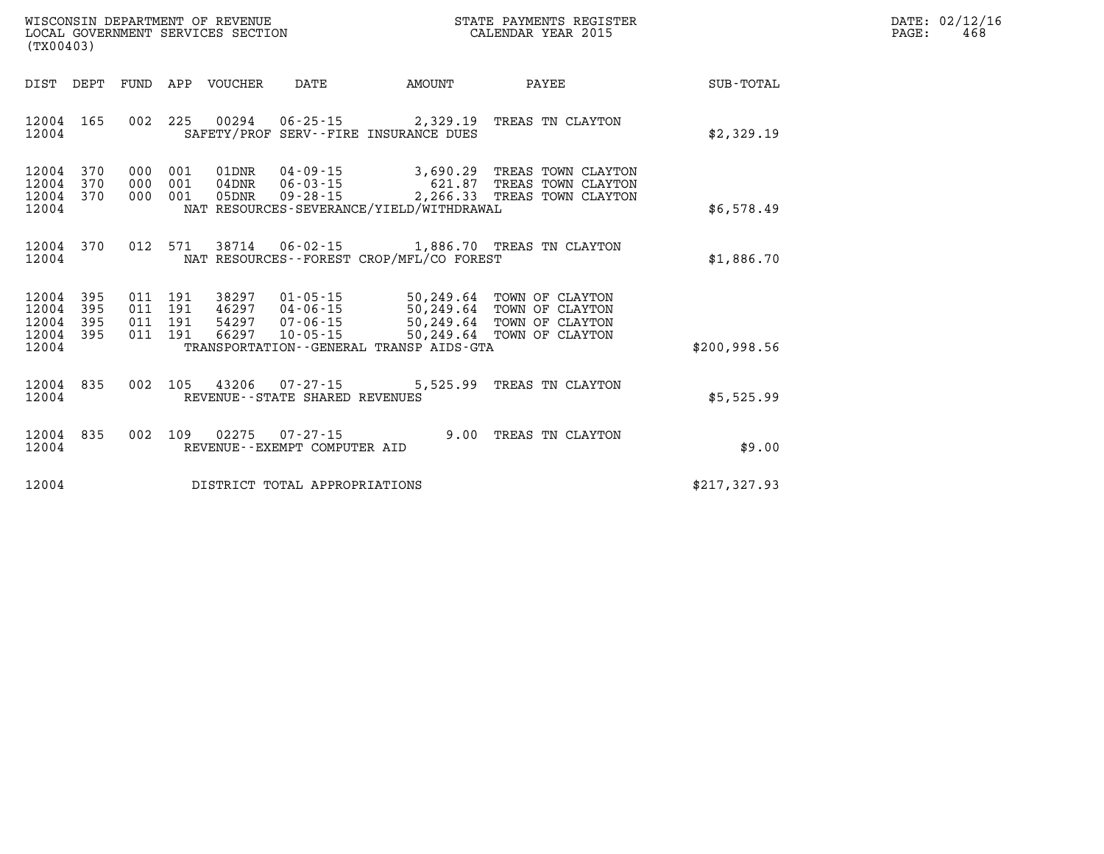| DATE: | 02/12/16 |
|-------|----------|
| PAGE: | 468      |

| (TX00403)                                                             |                          |                                                              |                                                                      |                                                                            |                                                                                              |                  |
|-----------------------------------------------------------------------|--------------------------|--------------------------------------------------------------|----------------------------------------------------------------------|----------------------------------------------------------------------------|----------------------------------------------------------------------------------------------|------------------|
| DIST<br>DEPT                                                          | FUND                     | APP<br><b>VOUCHER</b>                                        | DATE                                                                 | AMOUNT                                                                     | PAYEE                                                                                        | <b>SUB-TOTAL</b> |
| 165<br>12004<br>12004                                                 | 002                      | 225<br>00294<br>SAFETY/PROF                                  | $06 - 25 - 15$                                                       | 2,329.19<br>SERV--FIRE INSURANCE DUES                                      | TREAS TN CLAYTON                                                                             | \$2,329.19       |
| 12004<br>370<br>12004<br>370<br>12004<br>370<br>12004                 | 000<br>000<br>000        | 001<br>01DNR<br>001<br>$04$ DNR<br>001<br>05DNR              | $04 - 09 - 15$<br>$06 - 03 - 15$<br>$09 - 28 - 15$                   | 3,690.29<br>621.87<br>2,266.33<br>NAT RESOURCES-SEVERANCE/YIELD/WITHDRAWAL | TREAS TOWN CLAYTON<br>TREAS TOWN CLAYTON<br>TREAS TOWN CLAYTON                               | \$6,578.49       |
| 12004<br>370<br>12004                                                 | 012                      | 571<br>38714                                                 | $06 - 02 - 15$                                                       | NAT RESOURCES - - FOREST CROP/MFL/CO FOREST                                | 1,886.70 TREAS TN CLAYTON                                                                    | \$1,886.70       |
| 12004<br>395<br>12004<br>395<br>12004<br>395<br>12004<br>395<br>12004 | 011<br>011<br>011<br>011 | 38297<br>191<br>46297<br>191<br>191<br>54297<br>191<br>66297 | $01 - 05 - 15$<br>$04 - 06 - 15$<br>$07 - 06 - 15$<br>$10 - 05 - 15$ | 50,249.64<br>50,249.64<br>TRANSPORTATION--GENERAL TRANSP AIDS-GTA          | TOWN OF CLAYTON<br>50,249.64 TOWN OF CLAYTON<br>50,249.64 TOWN OF CLAYTON<br>TOWN OF CLAYTON | \$200,998.56     |
| 12004<br>835<br>12004                                                 | 002                      | 105<br>43206<br>REVENUE - - STATE SHARED REVENUES            | 07 - 27 - 15                                                         | 5,525.99                                                                   | TREAS TN CLAYTON                                                                             | \$5,525.99       |
| 12004<br>835<br>12004                                                 | 002                      | 109<br>02275<br>REVENUE--EXEMPT COMPUTER AID                 | $07 - 27 - 15$                                                       | 9.00                                                                       | TREAS TN CLAYTON                                                                             | \$9.00           |
| 12004                                                                 |                          |                                                              | DISTRICT TOTAL APPROPRIATIONS                                        |                                                                            |                                                                                              | \$217,327.93     |

WISCONSIN DEPARTMENT OF REVENUE **STATE PAYMENTS REGISTER**<br>LOCAL GOVERNMENT SERVICES SECTION

LOCAL GOVERNMENT SERVICES SECTION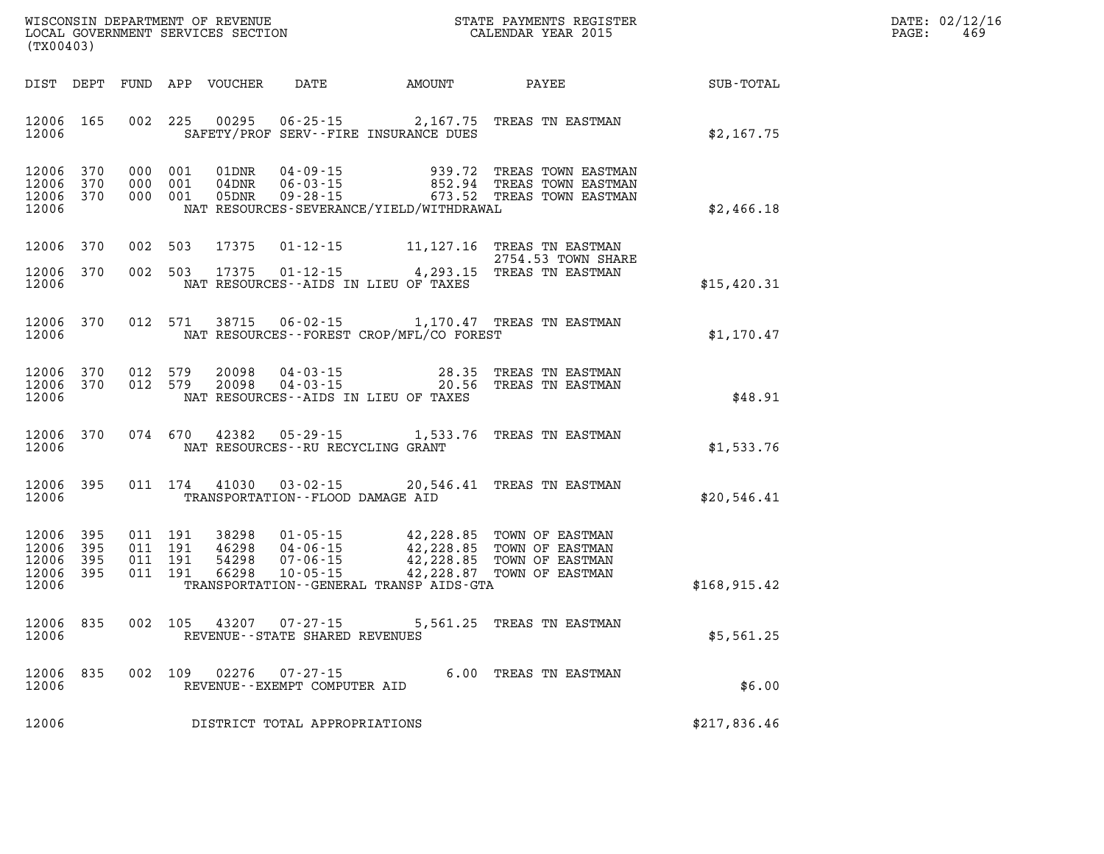| WISCONSIN DEPARTMENT OF REVENUE   | STATE PAYMENTS REGISTER |       | DATE: 02/12/16 |
|-----------------------------------|-------------------------|-------|----------------|
| LOCAL GOVERNMENT SERVICES SECTION | CALENDAR YEAR 2015      | PAGE: | 46.            |

| (TX00403)                                         |            |                                          | LOCAL GOVERNMENT SERVICES SECTION |                                                                |                                              | CALENDAR YEAR 2015                                                                                               |               | PAGE: | 469 |
|---------------------------------------------------|------------|------------------------------------------|-----------------------------------|----------------------------------------------------------------|----------------------------------------------|------------------------------------------------------------------------------------------------------------------|---------------|-------|-----|
|                                                   |            |                                          | DIST DEPT FUND APP VOUCHER        |                                                                | DATE AMOUNT PAYEE                            |                                                                                                                  | SUB-TOTAL     |       |     |
| 12006 165<br>12006                                |            | 002 225                                  | 00295                             |                                                                | SAFETY/PROF SERV--FIRE INSURANCE DUES        | 06-25-15 2,167.75 TREAS TN EASTMAN                                                                               | \$2,167.75    |       |     |
| 12006 370<br>12006 370<br>12006 370<br>12006      |            | 000 001<br>000 001<br>000 001            | 01DNR<br>04DNR<br>05DNR           | 04 - 09 - 15<br>06 - 03 - 15<br>$09 - 28 - 15$                 | NAT RESOURCES-SEVERANCE/YIELD/WITHDRAWAL     | 939.72 TREAS TOWN EASTMAN<br>852.94 TREAS TOWN EASTMAN<br>673.52 TREAS TOWN EASTMAN                              | \$2,466.18    |       |     |
| 12006 370                                         |            | 002 503                                  | 17375                             |                                                                |                                              | 01-12-15 11, 127.16 TREAS TN EASTMAN<br>2754.53 TOWN SHARE                                                       |               |       |     |
| 12006 370<br>12006                                |            |                                          | 002 503 17375                     |                                                                | NAT RESOURCES--AIDS IN LIEU OF TAXES         | 01-12-15 4, 293.15 TREAS TN EASTMAN                                                                              | \$15,420.31   |       |     |
| 12006 370<br>12006                                |            | 012 571                                  | 38715                             | $06 - 02 - 15$                                                 | NAT RESOURCES - - FOREST CROP/MFL/CO FOREST  | 1,170.47 TREAS TN EASTMAN                                                                                        | \$1,170.47    |       |     |
| 12006 370<br>12006 370<br>12006                   |            | 012 579<br>012 579                       | 20098<br>20098                    |                                                                | NAT RESOURCES -- AIDS IN LIEU OF TAXES       | 04-03-15 28.35 TREAS TN EASTMAN<br>04-03-15 20.56 TREAS TN EASTMAN                                               | \$48.91       |       |     |
| 12006 370<br>12006                                |            |                                          | 074 670 42382                     | NAT RESOURCES - - RU RECYCLING GRANT                           |                                              | 05-29-15 1,533.76 TREAS TN EASTMAN                                                                               | \$1,533.76    |       |     |
| 12006<br>12006                                    | 395        | 011 174                                  |                                   | TRANSPORTATION - - FLOOD DAMAGE AID                            |                                              | 41030  03-02-15  20,546.41  TREAS TN EASTMAN                                                                     | \$20,546.41   |       |     |
| 12006<br>12006<br>12006 395<br>12006 395<br>12006 | 395<br>395 | 011 191<br>011 191<br>011 191<br>011 191 | 38298<br>46298<br>54298<br>66298  | $01 - 05 - 15$<br>04-06-15<br>$07 - 06 - 15$<br>$10 - 05 - 15$ | TRANSPORTATION - - GENERAL TRANSP AIDS - GTA | 42,228.85 TOWN OF EASTMAN<br>42,228.85 TOWN OF EASTMAN<br>42,228.85 TOWN OF EASTMAN<br>42,228.87 TOWN OF EASTMAN | \$168, 915.42 |       |     |
| 12006<br>12006                                    | 835        | 002 105                                  | 43207                             | $07 - 27 - 15$<br>REVENUE - - STATE SHARED REVENUES            |                                              | 5,561.25 TREAS TN EASTMAN                                                                                        | \$5,561.25    |       |     |
| 12006<br>12006                                    | 835        | 002 109                                  |                                   | 02276 07-27-15<br>REVENUE--EXEMPT COMPUTER AID                 |                                              | 6.00 TREAS TN EASTMAN                                                                                            | \$6.00        |       |     |
| 12006                                             |            |                                          |                                   | DISTRICT TOTAL APPROPRIATIONS                                  |                                              |                                                                                                                  | \$217,836.46  |       |     |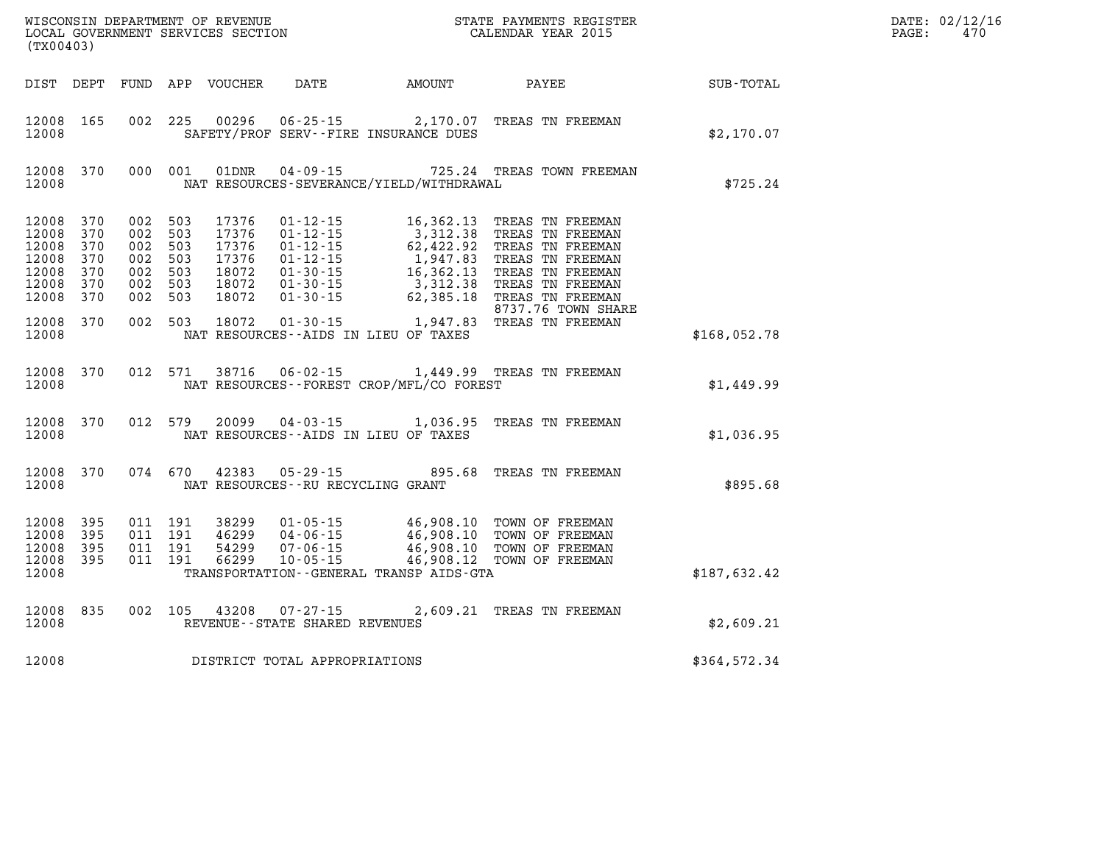| (TX00403)                                                                             |                                        |                                                                                      |         |                                                                      |                                                  |                                                        | WISCONSIN DEPARTMENT OF REVENUE<br>LOCAL GOVERNMENT SERVICES SECTION TERM COLLENDAR YEAR 2015                                                                                                                                                                                                                                                                           |                  | DATE: 02/12/16<br>470<br>PAGE: |
|---------------------------------------------------------------------------------------|----------------------------------------|--------------------------------------------------------------------------------------|---------|----------------------------------------------------------------------|--------------------------------------------------|--------------------------------------------------------|-------------------------------------------------------------------------------------------------------------------------------------------------------------------------------------------------------------------------------------------------------------------------------------------------------------------------------------------------------------------------|------------------|--------------------------------|
|                                                                                       |                                        |                                                                                      |         |                                                                      |                                                  | DIST DEPT FUND APP VOUCHER DATE AMOUNT<br><b>PAYEE</b> |                                                                                                                                                                                                                                                                                                                                                                         | <b>SUB-TOTAL</b> |                                |
| 12008                                                                                 | 12008 165                              |                                                                                      |         |                                                                      |                                                  | SAFETY/PROF SERV--FIRE INSURANCE DUES                  | 002 225 00296 06-25-15 2,170.07 TREAS TN FREEMAN                                                                                                                                                                                                                                                                                                                        | \$2,170.07       |                                |
| 12008                                                                                 | 12008 370                              |                                                                                      |         | 000 001 01DNR                                                        |                                                  | NAT RESOURCES-SEVERANCE/YIELD/WITHDRAWAL               | 04-09-15 725.24 TREAS TOWN FREEMAN                                                                                                                                                                                                                                                                                                                                      | \$725.24         |                                |
| 12008 370<br>12008<br>12008<br>12008<br>12008<br>12008<br>12008<br>12008 370<br>12008 | 370<br>370<br>370<br>370<br>370<br>370 | 002 503<br>002 503<br>002 503<br>002 503<br>002 503<br>002 503<br>002 503<br>002 503 |         | 17376<br>17376<br>17376<br>17376<br>18072<br>18072<br>18072<br>18072 |                                                  | NAT RESOURCES - AIDS IN LIEU OF TAXES                  | 01-12-15 16,362.13 TREAS TN FREEMAN<br>01-12-15<br>01-12-15<br>01-12-15<br>01-12-15<br>01-12-15<br>01-30-15<br>16,362.13<br>TREAS TN FREEMAN<br>01-30-15<br>01-30-15<br>01-30-15<br>02,385.18<br>TREAS TN FREEMAN<br>01-30-15<br>02,385.18<br>TREAS TN FREEMAN<br>01-30-15<br>02,385.18<br>TREAS TN FREEM<br>8737.76 TOWN SHARE<br>$01-30-15$ 1,947.83 TREAS TN FREEMAN | \$168,052.78     |                                |
| 12008                                                                                 | 12008 370                              |                                                                                      | 012 571 |                                                                      |                                                  | NAT RESOURCES--FOREST CROP/MFL/CO FOREST               | 38716  06-02-15  1,449.99  TREAS TN FREEMAN                                                                                                                                                                                                                                                                                                                             | \$1,449.99       |                                |
| 12008                                                                                 | 12008 370                              |                                                                                      | 012 579 |                                                                      |                                                  | NAT RESOURCES -- AIDS IN LIEU OF TAXES                 | 20099  04-03-15  1,036.95  TREAS TN FREEMAN                                                                                                                                                                                                                                                                                                                             | \$1,036.95       |                                |
| 12008                                                                                 | 12008 370                              |                                                                                      | 074 670 | 42383                                                                | NAT RESOURCES--RU RECYCLING GRANT                |                                                        | 05-29-15 895.68 TREAS TN FREEMAN                                                                                                                                                                                                                                                                                                                                        | \$895.68         |                                |
| 12008<br>12008<br>12008<br>12008                                                      | 395<br>- 395<br>395<br>12008 395       | 011 191<br>011 191<br>011 191<br>011 191                                             |         | 38299<br>46299<br>54299<br>66299                                     |                                                  | TRANSPORTATION - - GENERAL TRANSP AIDS - GTA           | 01-05-15 46,908.10 TOWN OF FREEMAN<br>04-06-15 46,908.10 TOWN OF FREEMAN<br>07-06-15 46,908.10 TOWN OF FREEMAN<br>10-05-15 46,908.12 TOWN OF FREEMAN                                                                                                                                                                                                                    | \$187,632.42     |                                |
| 12008                                                                                 | 12008 835                              | 002 105                                                                              |         |                                                                      | 43208 07-27-15<br>REVENUE--STATE SHARED REVENUES |                                                        | 2,609.21 TREAS TN FREEMAN                                                                                                                                                                                                                                                                                                                                               | \$2,609.21       |                                |
| 12008                                                                                 |                                        |                                                                                      |         |                                                                      | DISTRICT TOTAL APPROPRIATIONS                    |                                                        |                                                                                                                                                                                                                                                                                                                                                                         | \$364,572.34     |                                |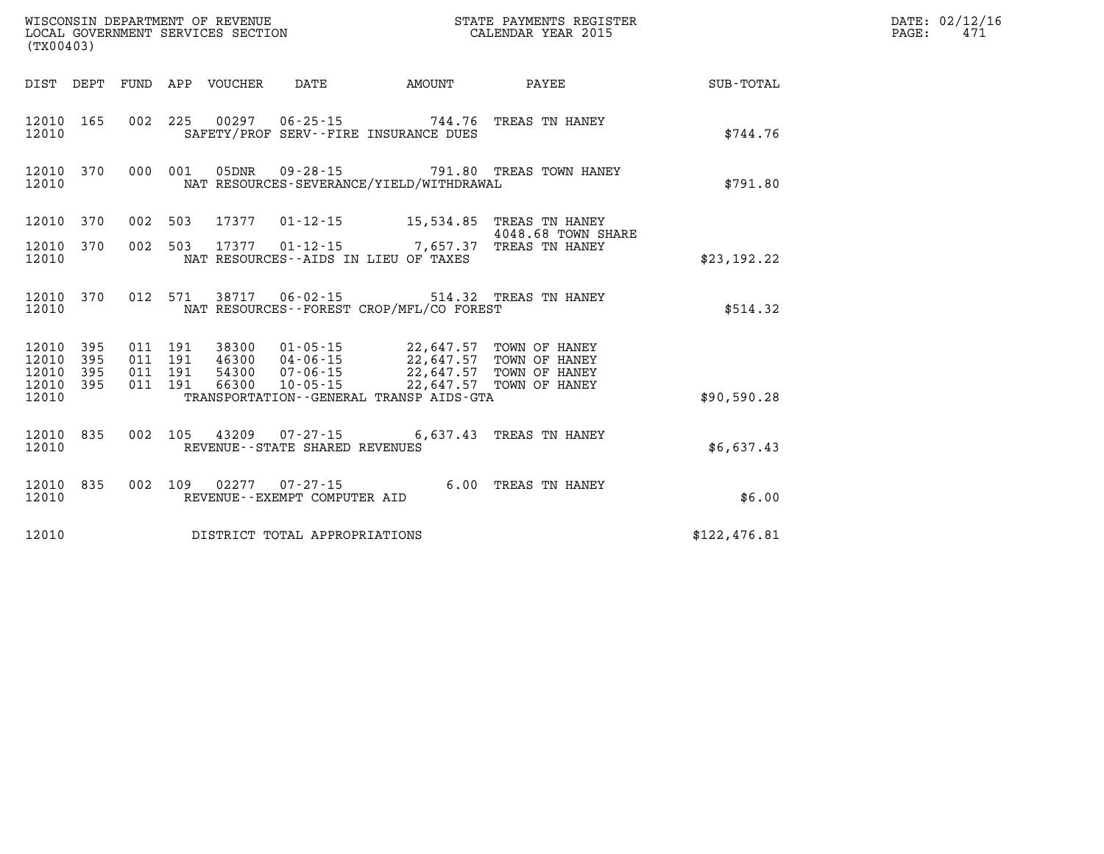| (TX00403)                       |           |         |         |                            | WISCONSIN DEPARTMENT OF REVENUE<br>LOCAL GOVERNMENT SERVICES SECTION |                                                                                                                                       | STATE PAYMENTS REGISTER<br>CALENDAR YEAR 2015  |              | DATE: 02/12/16<br>471<br>$\mathtt{PAGE:}$ |
|---------------------------------|-----------|---------|---------|----------------------------|----------------------------------------------------------------------|---------------------------------------------------------------------------------------------------------------------------------------|------------------------------------------------|--------------|-------------------------------------------|
|                                 |           |         |         | DIST DEPT FUND APP VOUCHER | DATE                                                                 | <b>EXAMPLE THE PROPERTY OF AMOUNT</b>                                                                                                 | <b>PAYEE</b>                                   | SUB-TOTAL    |                                           |
| 12010                           | 12010 165 |         |         |                            |                                                                      | 002 225 00297 06-25-15 744.76 TREAS TN HANEY<br>SAFETY/PROF SERV--FIRE INSURANCE DUES                                                 |                                                | \$744.76     |                                           |
| 12010                           | 12010 370 |         |         |                            |                                                                      | NAT RESOURCES-SEVERANCE/YIELD/WITHDRAWAL                                                                                              | 000 001 05DNR 09-28-15 791.80 TREAS TOWN HANEY | \$791.80     |                                           |
| 12010 370                       |           | 002 503 |         | 17377                      |                                                                      | 01-12-15 15,534.85 TREAS TN HANEY                                                                                                     | 4048.68 TOWN SHARE                             |              |                                           |
| 12010 370<br>12010              |           | 002 503 |         |                            |                                                                      | 17377 01-12-15 7,657.37 TREAS TN HANEY<br>NAT RESOURCES--AIDS IN LIEU OF TAXES                                                        |                                                | \$23,192.22  |                                           |
| 12010 370<br>12010              |           |         |         |                            | 012 571 38717 06-02-15                                               | NAT RESOURCES - - FOREST CROP/MFL/CO FOREST                                                                                           | 514.32 TREAS TN HANEY                          | \$514.32     |                                           |
| 12010 395<br>12010 395<br>12010 | 395       | 011 191 | 011 191 |                            |                                                                      | 38300  01-05-15  22,647.57  TOWN OF HANEY<br>011 191 46300 04-06-15 22,647.57 TOWN OF HANEY<br>54300 07-06-15 22,647.57 TOWN OF HANEY |                                                |              |                                           |
| 12010 395<br>12010              |           | 011 191 |         |                            |                                                                      | 66300  10-05-15  22,647.57  TOWN OF HANEY<br>TRANSPORTATION--GENERAL TRANSP AIDS-GTA                                                  |                                                | \$90,590.28  |                                           |
| 12010                           | 12010 835 |         |         |                            | REVENUE - - STATE SHARED REVENUES                                    | 002 105 43209 07-27-15 6,637.43 TREAS TN HANEY                                                                                        |                                                | \$6,637.43   |                                           |
| 12010                           | 12010 835 |         |         |                            | 002 109 02277 07-27-15<br>REVENUE--EXEMPT COMPUTER AID               |                                                                                                                                       | 6.00 TREAS TN HANEY                            | \$6.00       |                                           |
| 12010                           |           |         |         |                            | DISTRICT TOTAL APPROPRIATIONS                                        |                                                                                                                                       |                                                | \$122,476.81 |                                           |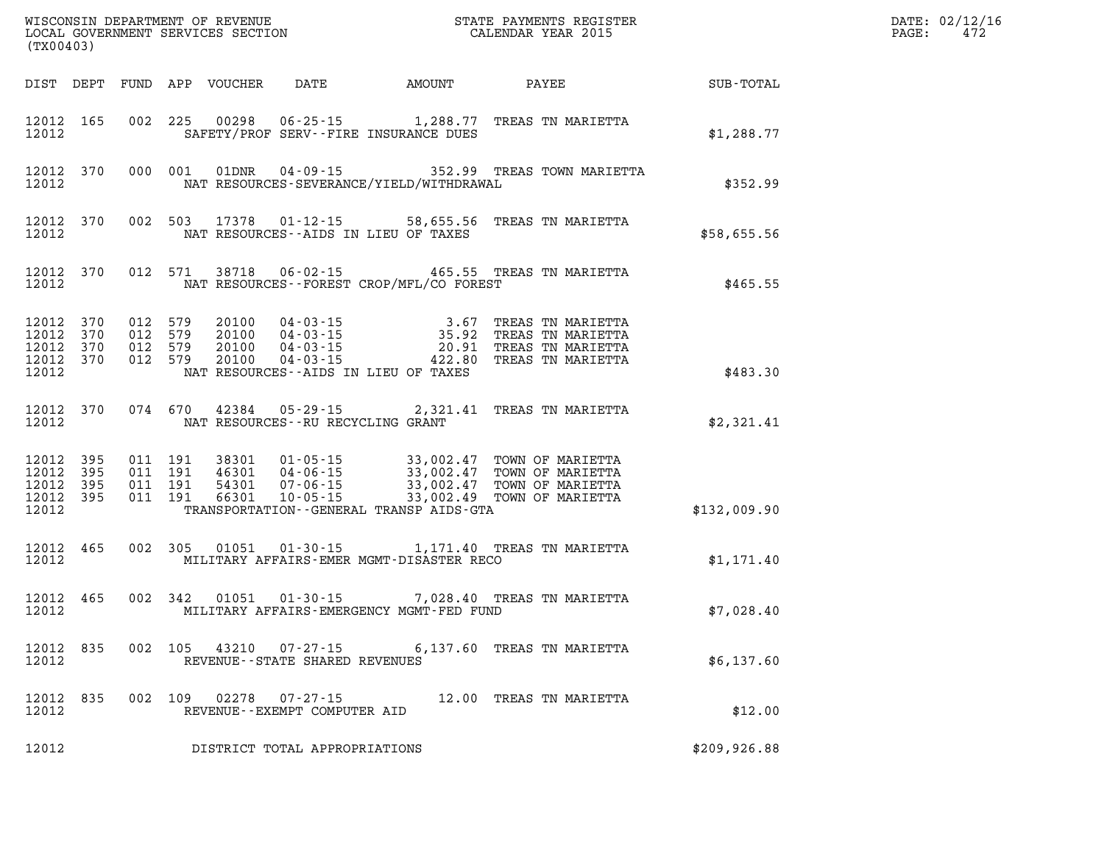| (TX00403)                                                 |           |                                          |         |                            |                                                        |                                             |                                                                                                                                                                                  | $\mathbb{E} \mathbf{R}$ | DATE: 02/12/16<br>PAGE:<br>472 |
|-----------------------------------------------------------|-----------|------------------------------------------|---------|----------------------------|--------------------------------------------------------|---------------------------------------------|----------------------------------------------------------------------------------------------------------------------------------------------------------------------------------|-------------------------|--------------------------------|
|                                                           |           |                                          |         | DIST DEPT FUND APP VOUCHER | DATE                                                   | AMOUNT                                      | PAYEE                                                                                                                                                                            | SUB-TOTAL               |                                |
| 12012                                                     | 12012 165 |                                          |         |                            |                                                        | SAFETY/PROF SERV--FIRE INSURANCE DUES       | 002 225 00298 06-25-15 1,288.77 TREAS TN MARIETTA                                                                                                                                | \$1,288.77              |                                |
| 12012                                                     | 12012 370 |                                          |         |                            |                                                        | NAT RESOURCES-SEVERANCE/YIELD/WITHDRAWAL    | 000 001 01DNR 04-09-15 352.99 TREAS TOWN MARIETTA                                                                                                                                | \$352.99                |                                |
| 12012                                                     | 12012 370 |                                          |         |                            |                                                        | NAT RESOURCES--AIDS IN LIEU OF TAXES        | 002 503 17378 01-12-15 58,655.56 TREAS TN MARIETTA                                                                                                                               | \$58,655.56             |                                |
| 12012                                                     | 12012 370 |                                          |         |                            |                                                        | NAT RESOURCES - - FOREST CROP/MFL/CO FOREST | 012 571 38718 06-02-15 465.55 TREAS TN MARIETTA                                                                                                                                  | \$465.55                |                                |
| 12012 370<br>12012<br>12012 370<br>12012 370<br>12012     | 370       | 012 579<br>012 579<br>012 579<br>012 579 |         |                            |                                                        | NAT RESOURCES--AIDS IN LIEU OF TAXES        | 20100 04-03-15 3.67 TREAS TN MARIETTA<br>20100 04-03-15 35.92 TREAS TN MARIETTA<br>20100 04-03-15 20.91 TREAS TN MARIETTA<br>20100 04-03-15 422.80 TREAS TN MARIETTA             | \$483.30                |                                |
| 12012                                                     | 12012 370 | 074 670                                  |         |                            | 42384 05-29-15<br>NAT RESOURCES--RU RECYCLING GRANT    |                                             | 2,321.41 TREAS TN MARIETTA                                                                                                                                                       | \$2,321.41              |                                |
| 12012 395<br>12012 395<br>12012 395<br>12012 395<br>12012 |           | 011 191<br>011 191<br>011 191<br>011 191 |         |                            |                                                        | TRANSPORTATION--GENERAL TRANSP AIDS-GTA     | 38301 01-05-15 33,002.47 TOWN OF MARIETTA<br>46301 04-06-15 33,002.47 TOWN OF MARIETTA<br>54301 07-06-15 33,002.47 TOWN OF MARIETTA<br>66301 10-05-15 33,002.49 TOWN OF MARIETTA | \$132,009.90            |                                |
| 12012                                                     | 12012 465 |                                          | 002 305 | 01051                      |                                                        | MILITARY AFFAIRS-EMER MGMT-DISASTER RECO    | 01-30-15 1,171.40 TREAS TN MARIETTA                                                                                                                                              | \$1,171.40              |                                |
| 12012                                                     | 12012 465 |                                          |         | 002 342 01051              |                                                        | MILITARY AFFAIRS-EMERGENCY MGMT-FED FUND    | 01-30-15 7,028.40 TREAS TN MARIETTA                                                                                                                                              | \$7,028.40              |                                |
| 12012 835<br>12012                                        |           |                                          | 002 105 |                            | 43210 07-27-15<br>REVENUE - - STATE SHARED REVENUES    |                                             | 6,137.60 TREAS TN MARIETTA                                                                                                                                                       | \$6,137.60              |                                |
| 12012 835<br>12012                                        |           |                                          |         |                            | 002 109 02278 07-27-15<br>REVENUE--EXEMPT COMPUTER AID |                                             | 12.00 TREAS TN MARIETTA                                                                                                                                                          | \$12.00                 |                                |
| 12012                                                     |           |                                          |         |                            | DISTRICT TOTAL APPROPRIATIONS                          |                                             |                                                                                                                                                                                  | \$209,926.88            |                                |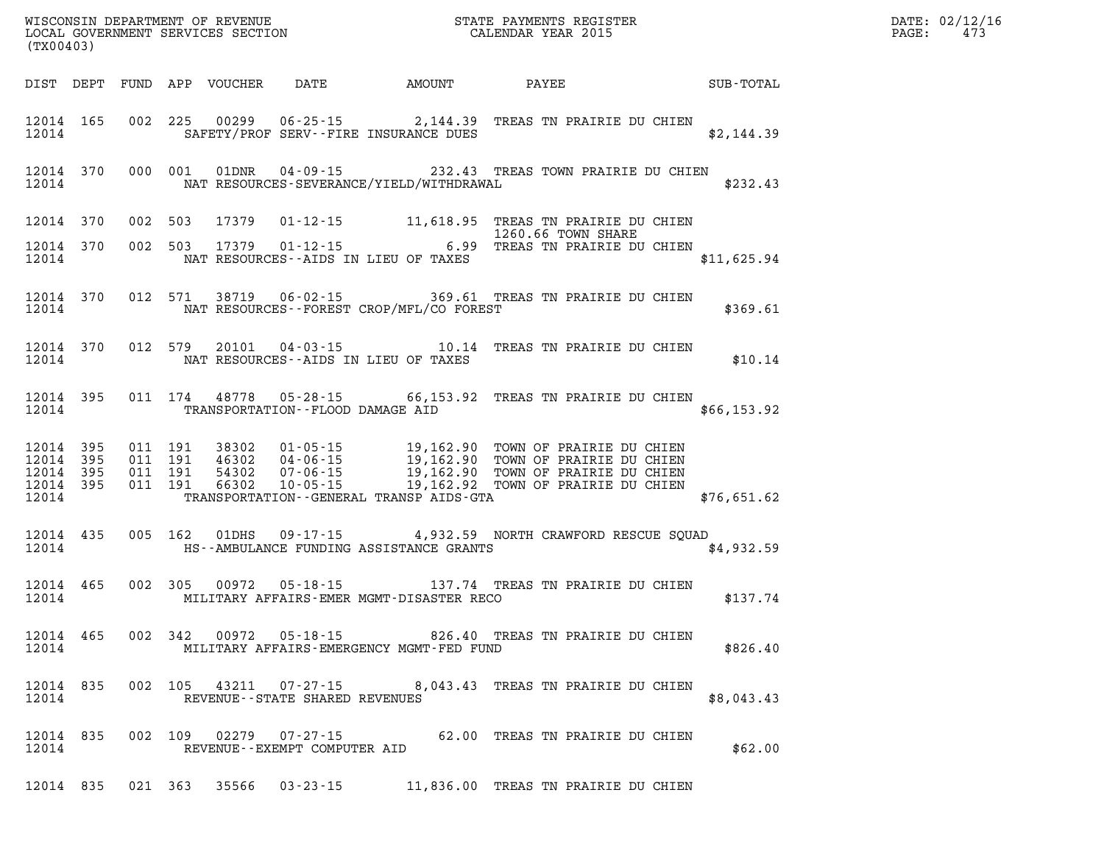| DATE: | 02/12/16 |
|-------|----------|
| PAGE: | 473      |

| (TX00403)          |  |                                |                                                |                                                                                                                                                                                                                                        |                                                                          | DATE: 02/12/1<br>PAGE: 473 |
|--------------------|--|--------------------------------|------------------------------------------------|----------------------------------------------------------------------------------------------------------------------------------------------------------------------------------------------------------------------------------------|--------------------------------------------------------------------------|----------------------------|
|                    |  |                                |                                                |                                                                                                                                                                                                                                        | DIST DEPT FUND APP VOUCHER DATE AMOUNT PAYEE SUB-TOTAL                   |                            |
|                    |  |                                |                                                | 12014 165 002 225 00299 06-25-15 2,144.39 TREAS TN PRAIRIE DU CHIEN<br>12014 SAFETY/PROF SERV--FIRE INSURANCE DUES                                                                                                                     | \$2,144.39                                                               |                            |
|                    |  |                                |                                                | 12014 370 000 001 01DNR 04-09-15 232.43 TREAS TOWN PRAIRIE DU CHIEN<br>12014 NAT RESOURCES-SEVERANCE/YIELD/WITHDRAWAL                                                                                                                  | \$232.43                                                                 |                            |
|                    |  |                                |                                                | 12014 370 002 503 17379 01-12-15 11,618.95 TREAS TN PRAIRIE DU CHIEN                                                                                                                                                                   |                                                                          |                            |
|                    |  |                                | 12014 NAT RESOURCES--AIDS IN LIEU OF TAXES     | 12014 370 002 503 17379 01-12-15 6.99 TREAS TN PRAIRIE DU CHIEN                                                                                                                                                                        | \$11,625.94                                                              |                            |
|                    |  |                                | 12014 NAT RESOURCES--FOREST CROP/MFL/CO FOREST | 12014 370 012 571 38719 06-02-15 369.61 TREAS TN PRAIRIE DU CHIEN                                                                                                                                                                      | \$369.61                                                                 |                            |
|                    |  |                                | 12014 NAT RESOURCES--AIDS IN LIEU OF TAXES     |                                                                                                                                                                                                                                        | 12014 370 012 579 20101 04-03-15 10.14 TREAS TN PRAIRIE DU CHIEN \$10.14 |                            |
|                    |  |                                | 12014 TRANSPORTATION--FLOOD DAMAGE AID         | 12014 395 011 174 48778 05-28-15 66,153.92 TREAS TN PRAIRIE DU CHIEN                                                                                                                                                                   | \$66,153.92                                                              |                            |
|                    |  |                                |                                                | 12014 395 011 191 38302 01-05-15 19,162.90 TOWN OF PRAIRIE DU CHIEN<br>12014 395 011 191 46302 04-06-15 19,162.90 TOWN OF PRAIRIE DU CHIEN<br>12014 395 011 191 54302 07-06-15 19,162.90 TOWN OF PRAIRIE DU CHIEN<br>12014 395 011 191 | 12014 TRANSPORTATION - - GENERAL TRANSP AIDS - GTA 676, 651.62           |                            |
|                    |  |                                |                                                | 12014 435 005 162 01DHS 09-17-15 4,932.59 NORTH CRAWFORD RESCUE SQUAD<br>12014 HS--AMBULANCE FUNDING ASSISTANCE GRANTS                                                                                                                 | \$4,932.59                                                               |                            |
|                    |  |                                |                                                | 12014 465 002 305 00972 05-18-15 137.74 TREAS TN PRAIRIE DU CHIEN<br>12014 MILITARY AFFAIRS-EMER MGMT-DISASTER RECO                                                                                                                    | \$137.74                                                                 |                            |
| 12014              |  |                                | MILITARY AFFAIRS-EMERGENCY MGMT-FED FUND       | 12014 465 002 342 00972 05-18-15 826.40 TREAS TN PRAIRIE DU CHIEN                                                                                                                                                                      | \$826.40                                                                 |                            |
| 12014 835<br>12014 |  | REVENUE--STATE SHARED REVENUES |                                                | 002 105 43211 07-27-15 8,043.43 TREAS TN PRAIRIE DU CHIEN                                                                                                                                                                              | \$8,043.43                                                               |                            |
| 12014 835<br>12014 |  | REVENUE--EXEMPT COMPUTER AID   |                                                | 002 109 02279 07-27-15 62.00 TREAS TN PRAIRIE DU CHIEN                                                                                                                                                                                 | \$62.00                                                                  |                            |
|                    |  |                                |                                                | 12014 835 021 363 35566 03-23-15 11,836.00 TREAS TN PRAIRIE DU CHIEN                                                                                                                                                                   |                                                                          |                            |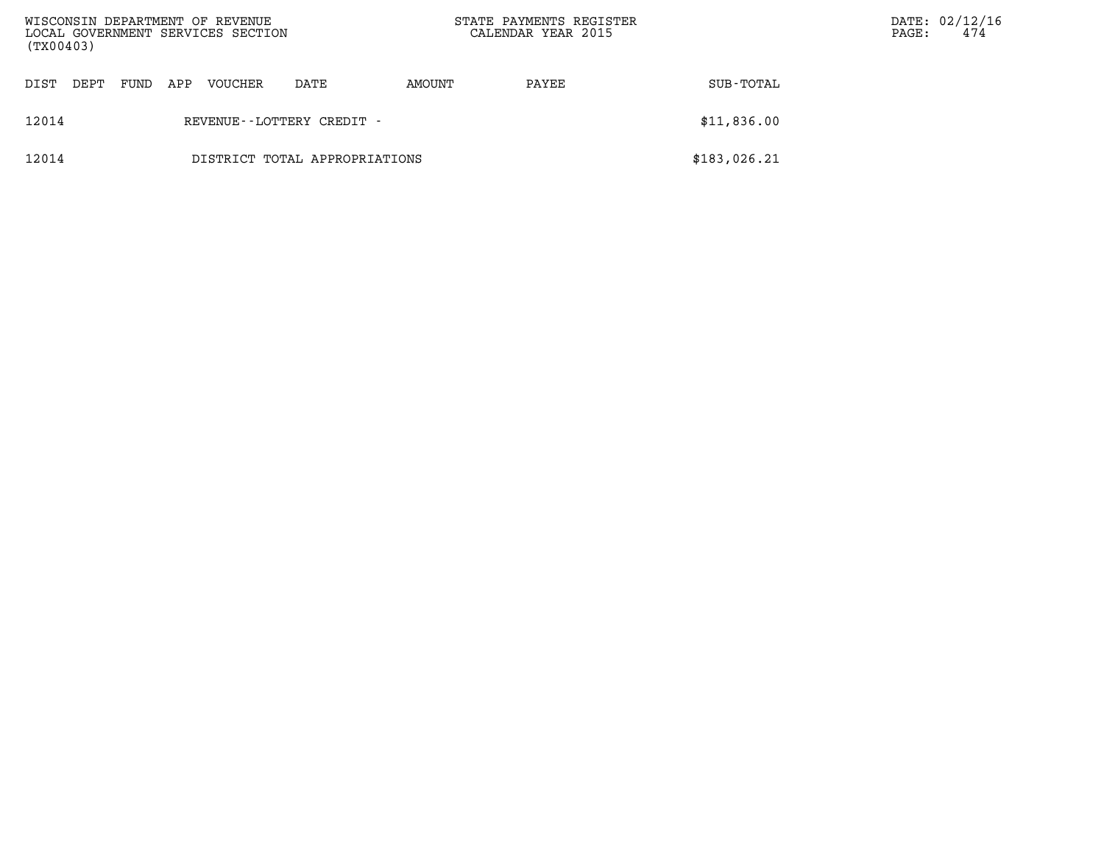| WISCONSIN DEPARTMENT OF REVENUE<br>LOCAL GOVERNMENT SERVICES SECTION<br>(TX00403) |      |      |     |         |                               | STATE PAYMENTS REGISTER<br>CALENDAR YEAR 2015 |       | PAGE:        | DATE: 02/12/16<br>474 |  |
|-----------------------------------------------------------------------------------|------|------|-----|---------|-------------------------------|-----------------------------------------------|-------|--------------|-----------------------|--|
| DIST                                                                              | DEPT | FUND | APP | VOUCHER | DATE                          | AMOUNT                                        | PAYEE | SUB-TOTAL    |                       |  |
| 12014                                                                             |      |      |     |         | REVENUE - - LOTTERY CREDIT -  |                                               |       | \$11,836.00  |                       |  |
| 12014                                                                             |      |      |     |         | DISTRICT TOTAL APPROPRIATIONS |                                               |       | \$183,026.21 |                       |  |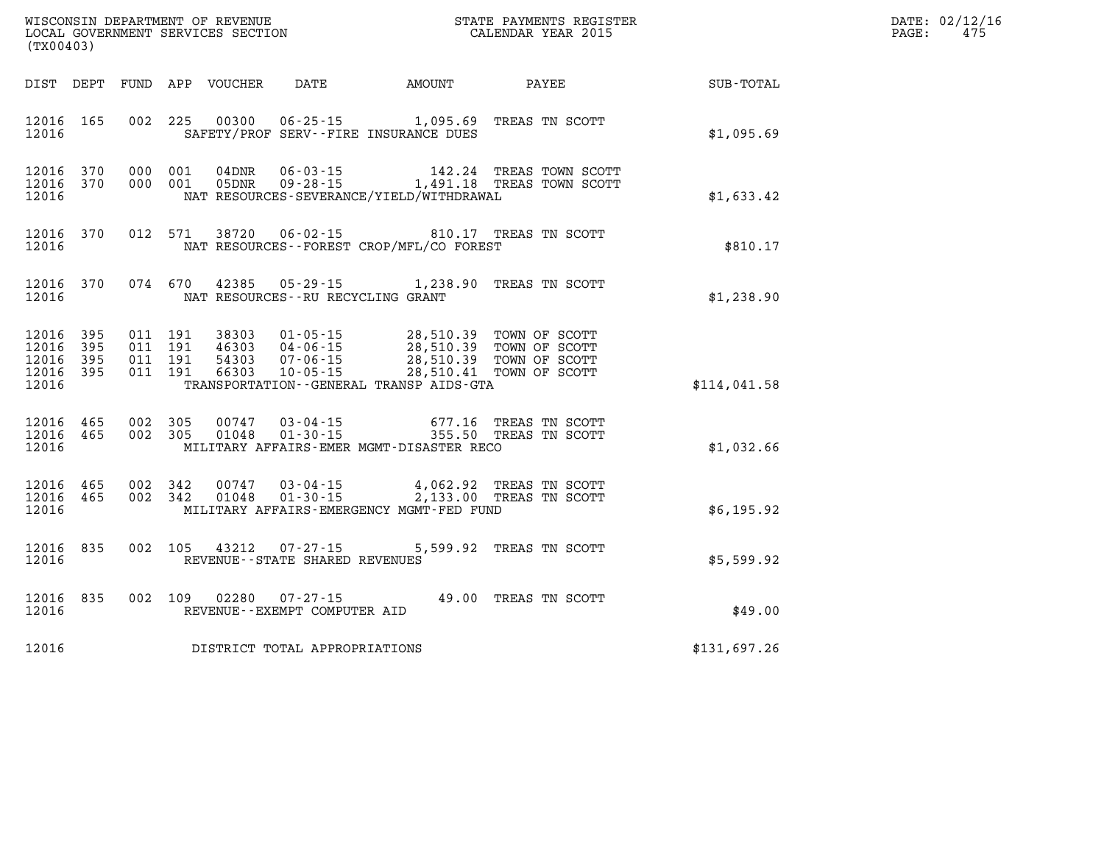| DATE: | 02/12/16 |
|-------|----------|
| PAGE: | 475      |

|       | (TX00403)                                        |         | LOCAL GOVERNMENT SERVICES SECTION |                                                             |                                                                                                                                                                                                                                                                                                                                                                                               | CALENDAR YEAR 2015                                                                                 |              | PAGE: | 475 |
|-------|--------------------------------------------------|---------|-----------------------------------|-------------------------------------------------------------|-----------------------------------------------------------------------------------------------------------------------------------------------------------------------------------------------------------------------------------------------------------------------------------------------------------------------------------------------------------------------------------------------|----------------------------------------------------------------------------------------------------|--------------|-------|-----|
|       |                                                  |         |                                   |                                                             |                                                                                                                                                                                                                                                                                                                                                                                               | DIST DEPT FUND APP VOUCHER DATE AMOUNT PAYEE                                                       | SUB-TOTAL    |       |     |
| 12016 | 12016 165                                        |         |                                   |                                                             | 002 225 00300 06-25-15 1,095.69 TREAS TN SCOTT<br>SAFETY/PROF SERV--FIRE INSURANCE DUES                                                                                                                                                                                                                                                                                                       |                                                                                                    | \$1,095.69   |       |     |
| 12016 | 12016 370<br>12016 370                           | 000 001 |                                   |                                                             | NAT RESOURCES-SEVERANCE/YIELD/WITHDRAWAL                                                                                                                                                                                                                                                                                                                                                      | 000 001 04DNR 06-03-15 142.24 TREAS TOWN SCOTT<br>000 001 05DNR 09-28-15 1,491.18 TREAS TOWN SCOTT | \$1,633.42   |       |     |
| 12016 | 12016 370                                        |         |                                   |                                                             | NAT RESOURCES - - FOREST CROP/MFL/CO FOREST                                                                                                                                                                                                                                                                                                                                                   | 012 571 38720 06-02-15 810.17 TREAS TN SCOTT NAT RESOURCES--FOREST CROP/MFL/CO FOREST              | \$810.17     |       |     |
| 12016 | 12016 370                                        |         |                                   |                                                             | NAT RESOURCES--RU RECYCLING GRANT                                                                                                                                                                                                                                                                                                                                                             | 074 670 42385 05-29-15 1,238.90 TREAS TN SCOTT                                                     | \$1,238.90   |       |     |
| 12016 | 12016 395<br>12016 395<br>12016 395<br>12016 395 |         |                                   |                                                             | $\begin{array}{cccc} 011 & 191 & 38303 & 01\cdot 05\cdot 15 & 28,510.39 & \text{TOWN OF SCOTT} \\ 011 & 191 & 46303 & 04\cdot 06\cdot 15 & 28,510.39 & \text{TOWN OF SCOTT} \\ 011 & 191 & 54303 & 07\cdot 06\cdot 15 & 28,510.39 & \text{TOWN OF SCOTT} \\ 011 & 191 & 66303 & 10\cdot 05\cdot 15 & 28,510.41 & \text{TOWN OF SCOTT} \end{array}$<br>TRANSPORTATION--GENERAL TRANSP AIDS-GTA |                                                                                                    | \$114,041.58 |       |     |
| 12016 | 12016 465<br>12016 465                           |         |                                   |                                                             | 002 305 00747 03-04-15 677.16 TREAS TN SCOTT<br>002 305 01048 01-30-15 355.50 TREAS TN SCOTT<br>MILITARY AFFAIRS-EMER MGMT-DISASTER RECO                                                                                                                                                                                                                                                      |                                                                                                    | \$1,032.66   |       |     |
| 12016 | 12016 465<br>12016 465                           |         |                                   |                                                             | $\begin{array}{cccc} 002 & 342 & 00747 & 03-04-15 & 4,062.92 & \text{TREAS TN SCOTT} \\ 002 & 342 & 01048 & 01-30-15 & 2,133.00 & \text{TREAS TN SCOTT} \end{array}$<br>MILITARY AFFAIRS-EMERGENCY MGMT-FED FUND                                                                                                                                                                              |                                                                                                    | \$6,195.92   |       |     |
| 12016 | 12016 835                                        |         |                                   | 002 105 43212 07-27-15<br>REVENUE - - STATE SHARED REVENUES |                                                                                                                                                                                                                                                                                                                                                                                               | 5,599.92 TREAS TN SCOTT                                                                            | \$5,599.92   |       |     |
| 12016 | 12016 835                                        |         |                                   | REVENUE--EXEMPT COMPUTER AID                                | 002 109 02280 07-27-15 49.00 TREAS TN SCOTT                                                                                                                                                                                                                                                                                                                                                   |                                                                                                    | \$49.00      |       |     |
| 12016 |                                                  |         |                                   | DISTRICT TOTAL APPROPRIATIONS                               |                                                                                                                                                                                                                                                                                                                                                                                               |                                                                                                    | \$131,697.26 |       |     |

WISCONSIN DEPARTMENT OF REVENUE **STATE PAYMENTS REGISTER**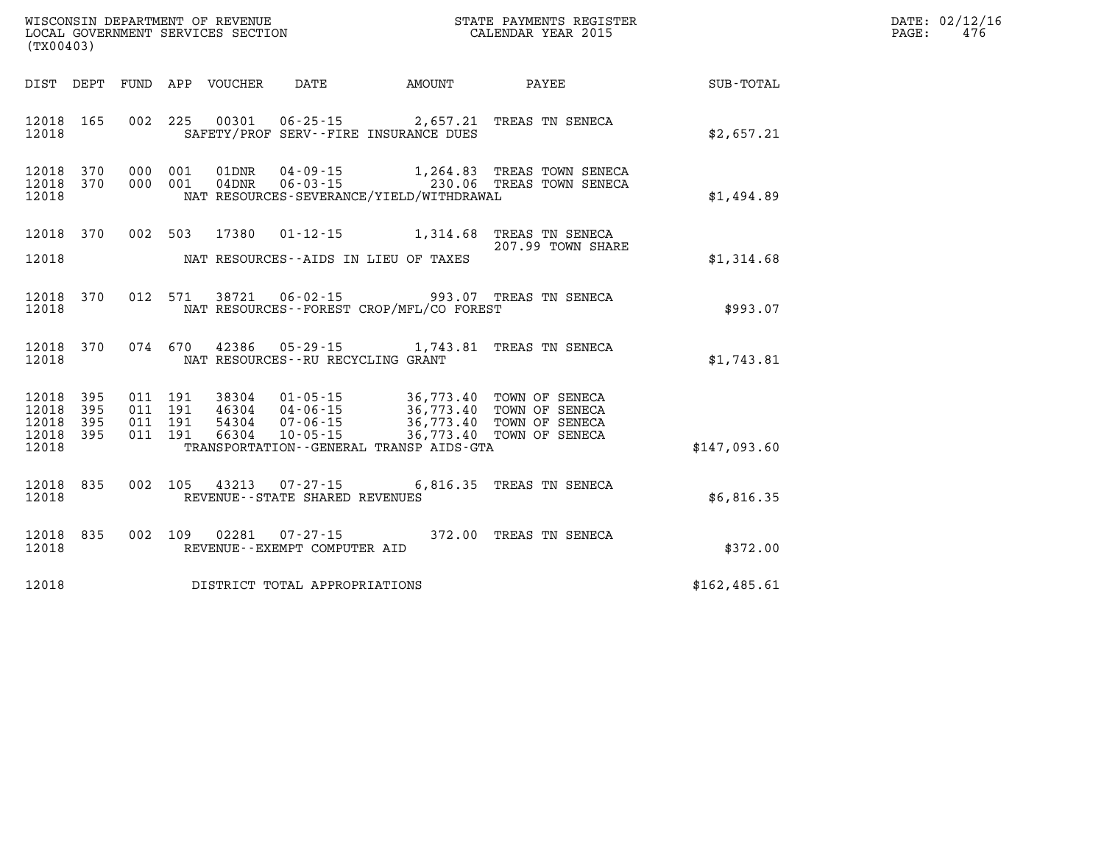| (TX00403)                                                    | WISCONSIN DEPARTMENT OF REVENUE<br>LOCAL GOVERNMENT SERVICES SECTION<br>CALENDAR YEAR 2015                                                                                                                                                                                                                                               |                   |               | DATE: 02/12/16<br>$\mathtt{PAGE:}$<br>476 |
|--------------------------------------------------------------|------------------------------------------------------------------------------------------------------------------------------------------------------------------------------------------------------------------------------------------------------------------------------------------------------------------------------------------|-------------------|---------------|-------------------------------------------|
|                                                              | DIST DEPT FUND APP VOUCHER DATE AMOUNT PAYEE SUB-TOTAL                                                                                                                                                                                                                                                                                   |                   |               |                                           |
| 12018 165<br>12018                                           | 002 225 00301 06-25-15 2,657.21 TREAS TN SENECA<br>SAFETY/PROF SERV--FIRE INSURANCE DUES                                                                                                                                                                                                                                                 |                   | \$2,657.21    |                                           |
| 12018 370<br>12018 370<br>12018                              | 000 001 01DNR 04-09-15 1,264.83 TREAS TOWN SENECA<br>000 001 04DNR 06-03-15 230.06 TREAS TOWN SENECA<br>NAT RESOURCES-SEVERANCE/YIELD/WITHDRAWAL                                                                                                                                                                                         |                   | \$1,494.89    |                                           |
| 12018 370<br>12018                                           | 002 503 17380 01-12-15 1,314.68 TREAS TN SENECA<br>NAT RESOURCES--AIDS IN LIEU OF TAXES                                                                                                                                                                                                                                                  | 207.99 TOWN SHARE | \$1,314.68    |                                           |
| 12018 370<br>12018                                           | 012 571 38721 06-02-15 993.07 TREAS TN SENECA<br>NAT RESOURCES - - FOREST CROP/MFL/CO FOREST                                                                                                                                                                                                                                             |                   | \$993.07      |                                           |
| 12018 370<br>12018                                           | 074 670 42386 05-29-15 1,743.81 TREAS TN SENECA<br>NAT RESOURCES--RU RECYCLING GRANT                                                                                                                                                                                                                                                     |                   | \$1,743.81    |                                           |
| 12018 395<br>12018<br>395<br>12018 395<br>12018 395<br>12018 | $\begin{tabular}{cccccc} 011 & 191 & 38304 & 01-05-15 & 36,773.40 & TOWN OF SENECA \\ 011 & 191 & 46304 & 04-06-15 & 36,773.40 & TOWN OF SENECA \\ 011 & 191 & 54304 & 07-06-15 & 36,773.40 & TOWN OF SENECA \\ 011 & 191 & 66304 & 10-05-15 & 36,773.40 & TOWN OF SENECA \end{tabular}$<br>TRANSPORTATION - - GENERAL TRANSP AIDS - GTA |                   | \$147,093.60  |                                           |
| 12018 835<br>12018                                           | 002 105 43213 07-27-15 6,816.35 TREAS TN SENECA<br>REVENUE--STATE SHARED REVENUES                                                                                                                                                                                                                                                        |                   | \$6,816.35    |                                           |
| 12018 835<br>12018                                           | 002 109 02281 07-27-15 372.00 TREAS TN SENECA<br>REVENUE--EXEMPT COMPUTER AID                                                                                                                                                                                                                                                            |                   | \$372.00      |                                           |
| 12018                                                        | DISTRICT TOTAL APPROPRIATIONS                                                                                                                                                                                                                                                                                                            |                   | \$162, 485.61 |                                           |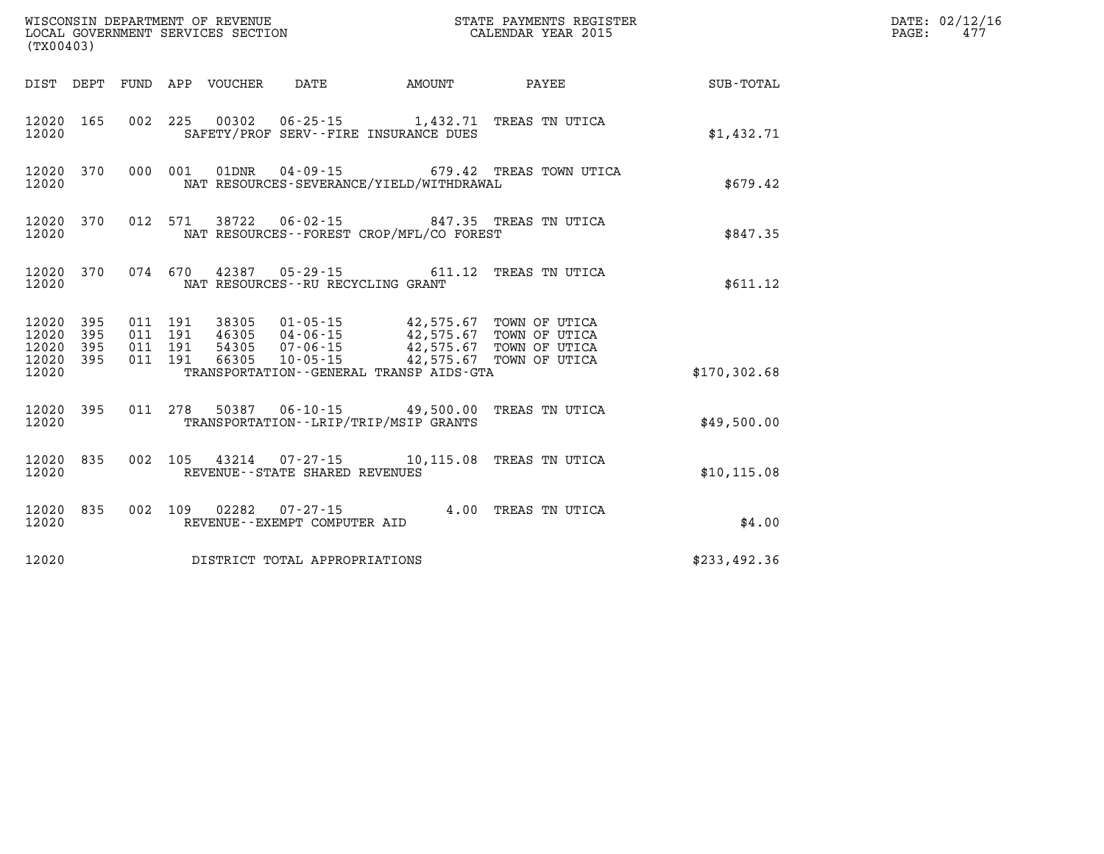| (TX00403)              |           |         |  |                                   |                                                                                                  |                                                |              | DATE: 02/12/16<br>PAGE:<br>477 |
|------------------------|-----------|---------|--|-----------------------------------|--------------------------------------------------------------------------------------------------|------------------------------------------------|--------------|--------------------------------|
|                        |           |         |  |                                   | DIST DEPT FUND APP VOUCHER DATE AMOUNT                                                           | <b>PAYEE</b> PAYEE                             | SUB-TOTAL    |                                |
| 12020 165<br>12020     |           |         |  |                                   | 002 225 00302 06-25-15 1,432.71 TREAS TN UTICA<br>SAFETY/PROF SERV--FIRE INSURANCE DUES          |                                                | \$1,432.71   |                                |
| 12020                  | 12020 370 |         |  |                                   | NAT RESOURCES-SEVERANCE/YIELD/WITHDRAWAL                                                         | 000 001 01DNR 04-09-15 679.42 TREAS TOWN UTICA | \$679.42     |                                |
| 12020                  | 12020 370 |         |  |                                   | 012 571 38722 06-02-15 847.35 TREAS TN UTICA<br>NAT RESOURCES--FOREST CROP/MFL/CO FOREST         |                                                | \$847.35     |                                |
| 12020                  | 12020 370 |         |  |                                   | 074 670 42387 05-29-15 611.12 TREAS TN UTICA<br>NAT RESOURCES--RU RECYCLING GRANT                |                                                | \$611.12     |                                |
| 12020 395<br>12020 395 | 12020 395 | 011 191 |  |                                   | 011 191 38305 01-05-15 42,575.67 TOWN OF UTICA<br>011 191 46305 04-06-15 42,575.67 TOWN OF UTICA |                                                |              |                                |
| 12020 395<br>12020     |           | 011 191 |  |                                   | TRANSPORTATION--GENERAL TRANSP AIDS-GTA                                                          |                                                | \$170,302.68 |                                |
| 12020                  | 12020 395 |         |  |                                   | 011 278 50387 06-10-15 49,500.00 TREAS TN UTICA<br>TRANSPORTATION - - LRIP/TRIP/MSIP GRANTS      |                                                | \$49,500.00  |                                |
| 12020                  | 12020 835 |         |  | REVENUE - - STATE SHARED REVENUES | 002 105 43214 07-27-15 10,115.08 TREAS TN UTICA                                                  |                                                | \$10, 115.08 |                                |
| 12020                  | 12020 835 |         |  | REVENUE--EXEMPT COMPUTER AID      | 002 109 02282 07-27-15 4.00 TREAS TN UTICA                                                       |                                                | \$4.00       |                                |
| 12020                  |           |         |  | DISTRICT TOTAL APPROPRIATIONS     |                                                                                                  |                                                | \$233,492.36 |                                |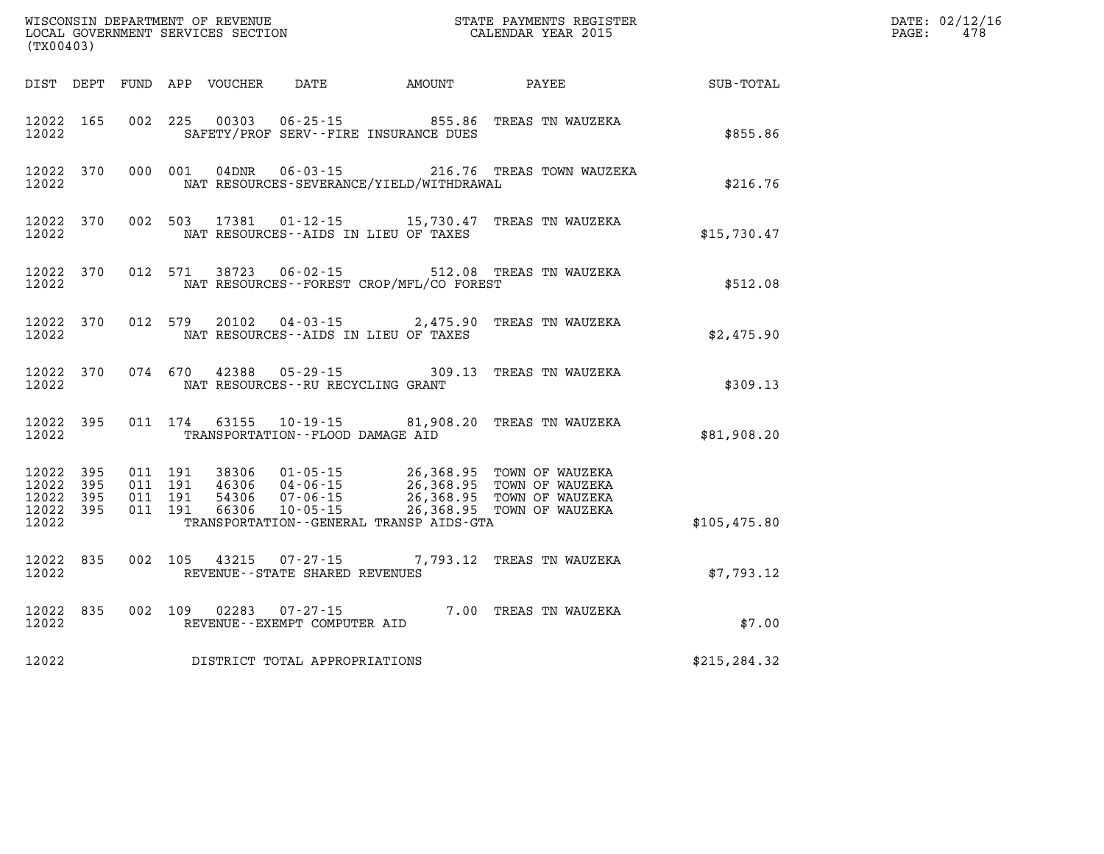| (TX00403)                                             |           |                                          |         |               |                                                             |                                              |                                                                                                                                                                                          |               | DATE: 02/12/16<br>478<br>$\mathtt{PAGE:}$ |
|-------------------------------------------------------|-----------|------------------------------------------|---------|---------------|-------------------------------------------------------------|----------------------------------------------|------------------------------------------------------------------------------------------------------------------------------------------------------------------------------------------|---------------|-------------------------------------------|
|                                                       |           |                                          |         |               |                                                             | DIST DEPT FUND APP VOUCHER DATE AMOUNT PAYEE |                                                                                                                                                                                          | SUB-TOTAL     |                                           |
| 12022 165<br>12022                                    |           |                                          |         |               |                                                             | SAFETY/PROF SERV--FIRE INSURANCE DUES        | 002 225 00303 06-25-15 855.86 TREAS TN WAUZEKA                                                                                                                                           | \$855.86      |                                           |
| 12022                                                 | 12022 370 |                                          |         | 000 001 04DNR |                                                             | NAT RESOURCES-SEVERANCE/YIELD/WITHDRAWAL     | 06-03-15 216.76 TREAS TOWN WAUZEKA                                                                                                                                                       | \$216.76      |                                           |
| 12022                                                 | 12022 370 |                                          |         | 002 503 17381 |                                                             | NAT RESOURCES--AIDS IN LIEU OF TAXES         | 01-12-15 15,730.47 TREAS TN WAUZEKA                                                                                                                                                      | \$15,730.47   |                                           |
| 12022                                                 | 12022 370 |                                          | 012 571 | 38723         |                                                             | NAT RESOURCES--FOREST CROP/MFL/CO FOREST     | 06-02-15 512.08 TREAS TN WAUZEKA                                                                                                                                                         | \$512.08      |                                           |
| 12022                                                 | 12022 370 |                                          | 012 579 |               |                                                             | NAT RESOURCES--AIDS IN LIEU OF TAXES         | 20102  04-03-15  2,475.90 TREAS TN WAUZEKA                                                                                                                                               | \$2,475.90    |                                           |
| 12022                                                 | 12022 370 |                                          |         |               | NAT RESOURCES--RU RECYCLING GRANT                           |                                              | 074 670 42388 05-29-15 309.13 TREAS TN WAUZEKA                                                                                                                                           | \$309.13      |                                           |
| 12022                                                 | 12022 395 |                                          | 011 174 |               | TRANSPORTATION--FLOOD DAMAGE AID                            |                                              | 63155  10-19-15  81,908.20  TREAS TN WAUZEKA                                                                                                                                             | \$81,908.20   |                                           |
| 12022<br>12022 395<br>12022 395<br>12022 395<br>12022 | 395       | 011 191<br>011 191<br>011 191<br>011 191 |         |               |                                                             | TRANSPORTATION - - GENERAL TRANSP AIDS - GTA | 38306  01-05-15  26,368.95  TOWN OF WAUZEKA<br>46306  04-06-15  26,368.95  TOWN OF WAUZEKA<br>54306  07-06-15  26,368.95  TOWN OF WAUZEKA<br>66306  10-05-15  26,368.95  TOWN OF WAUZEKA | \$105,475.80  |                                           |
| 12022 835<br>12022                                    |           |                                          |         |               | 002 105 43215 07-27-15<br>REVENUE - - STATE SHARED REVENUES |                                              | 7,793.12 TREAS TN WAUZEKA                                                                                                                                                                | \$7,793.12    |                                           |
| 12022                                                 | 12022 835 |                                          |         |               | 002 109 02283 07-27-15<br>REVENUE--EXEMPT COMPUTER AID      |                                              | 7.00 TREAS TN WAUZEKA                                                                                                                                                                    | \$7.00        |                                           |
| 12022                                                 |           |                                          |         |               | DISTRICT TOTAL APPROPRIATIONS                               |                                              |                                                                                                                                                                                          | \$215, 284.32 |                                           |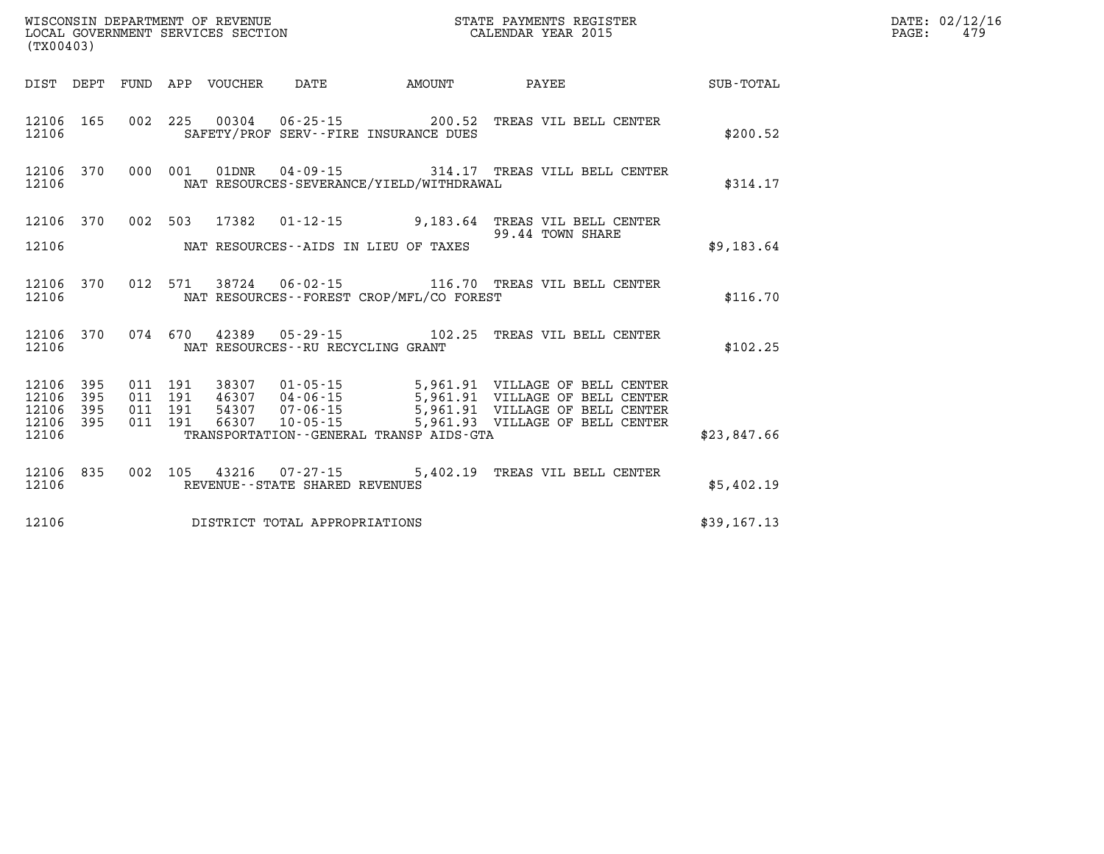| WISCONSIN DEPARTMENT OF REVENUE   | STATE PAYMENTS REGISTER | $\mathtt{DATE}$ : | .: 02/12/16     |
|-----------------------------------|-------------------------|-------------------|-----------------|
| LOCAL GOVERNMENT SERVICES SECTION | CALENDAR YEAR 2015      | PAGE:             | 47 <sup>c</sup> |

| (TX00403)              |                                                | LOCAL GOVERNMENT SERVICES SECTION CALENDAR YEAR 2015                                                                                                                                                                                                                                     |             | PAGE: | 479 |
|------------------------|------------------------------------------------|------------------------------------------------------------------------------------------------------------------------------------------------------------------------------------------------------------------------------------------------------------------------------------------|-------------|-------|-----|
|                        |                                                | DIST DEPT FUND APP VOUCHER DATE AMOUNT PAYEE SUB-TOTAL                                                                                                                                                                                                                                   |             |       |     |
| 12106                  | SAFETY/PROF SERV--FIRE INSURANCE DUES          | 12106 165 002 225 00304 06-25-15 200.52 TREAS VIL BELL CENTER                                                                                                                                                                                                                            | \$200.52    |       |     |
| 12106                  | NAT RESOURCES-SEVERANCE/YIELD/WITHDRAWAL       | 12106 370 000 001 01DNR 04-09-15 314.17 TREAS VILL BELL CENTER                                                                                                                                                                                                                           | \$314.17    |       |     |
|                        |                                                | 12106 370 002 503 17382 01-12-15 9,183.64 TREAS VIL BELL CENTER<br>99.44 TOWN SHARE<br>99.44 TOWN SHARE                                                                                                                                                                                  |             |       |     |
|                        | 12106 MAT RESOURCES--AIDS IN LIEU OF TAXES     |                                                                                                                                                                                                                                                                                          | \$9,183.64  |       |     |
|                        | 12106 MAT RESOURCES--FOREST CROP/MFL/CO FOREST | 12106 370 012 571 38724 06-02-15 116.70 TREAS VIL BELL CENTER                                                                                                                                                                                                                            | \$116.70    |       |     |
|                        | 12106 MAT RESOURCES--RU RECYCLING GRANT        | 12106 370 074 670 42389 05-29-15 102.25 TREAS VIL BELL CENTER                                                                                                                                                                                                                            | \$102.25    |       |     |
| 12106 395<br>12106 395 |                                                |                                                                                                                                                                                                                                                                                          |             |       |     |
| 12106 395<br>12106 395 |                                                | 011 191 38307 01-05-15 5,961.91 VILLAGE OF BELL CENTER<br>011 191 46307 04-06-15 5,961.91 VILLAGE OF BELL CENTER<br>011 191 54307 07-06-15 5,961.91 VILLAGE OF BELL CENTER<br>011 191 66307 10-05-15 5,961.93 VILLAGE OF BELL CENTER<br>12106 TRANSPORTATION - GENERAL TRANSP AIDS - GTA | \$23.847.66 |       |     |
|                        | 12106 REVENUE - - STATE SHARED REVENUES        | 12106 835 002 105 43216 07-27-15 5,402.19 TREAS VIL BELL CENTER                                                                                                                                                                                                                          | \$5,402.19  |       |     |
|                        | 12106 DISTRICT TOTAL APPROPRIATIONS            |                                                                                                                                                                                                                                                                                          | \$39,167.13 |       |     |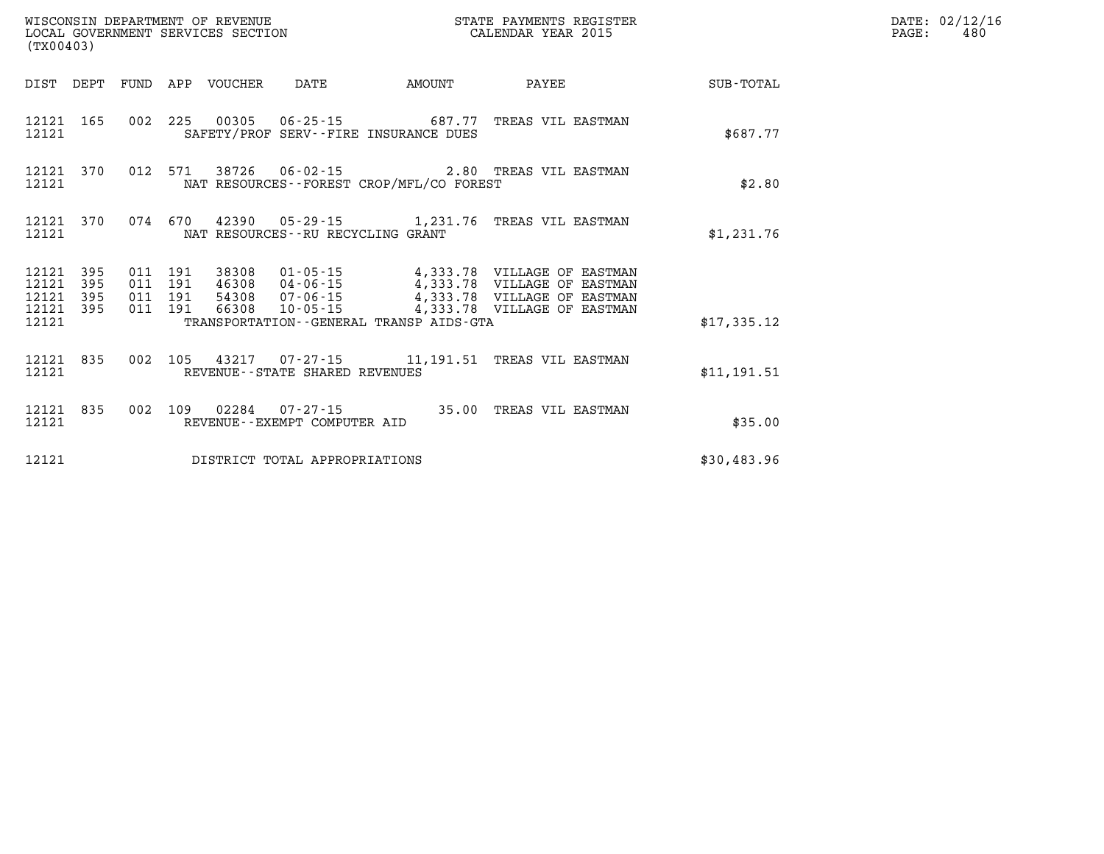| (TX00403)               |                   |  |                                 |                                   |                                                                                                                                                                                                                      | STATE PAYMENTS REGISTER |             | $\mathtt{PAGE:}$ | DATE: 02/12/16<br>480 |
|-------------------------|-------------------|--|---------------------------------|-----------------------------------|----------------------------------------------------------------------------------------------------------------------------------------------------------------------------------------------------------------------|-------------------------|-------------|------------------|-----------------------|
|                         |                   |  | DIST DEPT FUND APP VOUCHER DATE |                                   | AMOUNT                                                                                                                                                                                                               | PAYEE                   | SUB-TOTAL   |                  |                       |
| 12121 165<br>12121      |                   |  |                                 |                                   | 002 225 00305 06-25-15 687.77 TREAS VIL EASTMAN<br>SAFETY/PROF SERV--FIRE INSURANCE DUES                                                                                                                             |                         | \$687.77    |                  |                       |
| 12121 370<br>12121      |                   |  |                                 |                                   | 012 571 38726 06-02-15 2.80 TREAS VIL EASTMAN<br>NAT RESOURCES - - FOREST CROP/MFL/CO FOREST                                                                                                                         |                         | \$2.80      |                  |                       |
| 12121 370<br>12121      |                   |  |                                 | NAT RESOURCES--RU RECYCLING GRANT | 074 670 42390 05-29-15 1,231.76 TREAS VIL EASTMAN                                                                                                                                                                    |                         | \$1,231.76  |                  |                       |
| 12121<br>12121<br>12121 | 395<br>395<br>395 |  |                                 |                                   | 011 191 38308 01-05-15 4,333.78 VILLAGE OF EASTMAN<br>011 191 46308 04-06-15 4,333.78 VILLAGE OF EASTMAN<br>011 191 54308 07-06-15 4,333.78 VILLAGE OF EASTMAN<br>011 191 66308 10-05-15 4,333.78 VILLAGE OF EASTMAN |                         |             |                  |                       |
| 12121 395<br>12121      |                   |  |                                 |                                   | TRANSPORTATION--GENERAL TRANSP AIDS-GTA                                                                                                                                                                              |                         | \$17,335.12 |                  |                       |
| 12121 835<br>12121      |                   |  |                                 | REVENUE - - STATE SHARED REVENUES | 002 105 43217 07-27-15 11,191.51 TREAS VIL EASTMAN                                                                                                                                                                   |                         | \$11,191.51 |                  |                       |
| 12121                   | 12121 835         |  |                                 | REVENUE--EXEMPT COMPUTER AID      | 002 109 02284 07-27-15 35.00 TREAS VIL EASTMAN                                                                                                                                                                       |                         | \$35.00     |                  |                       |
| 12121                   |                   |  |                                 | DISTRICT TOTAL APPROPRIATIONS     |                                                                                                                                                                                                                      |                         | \$30,483.96 |                  |                       |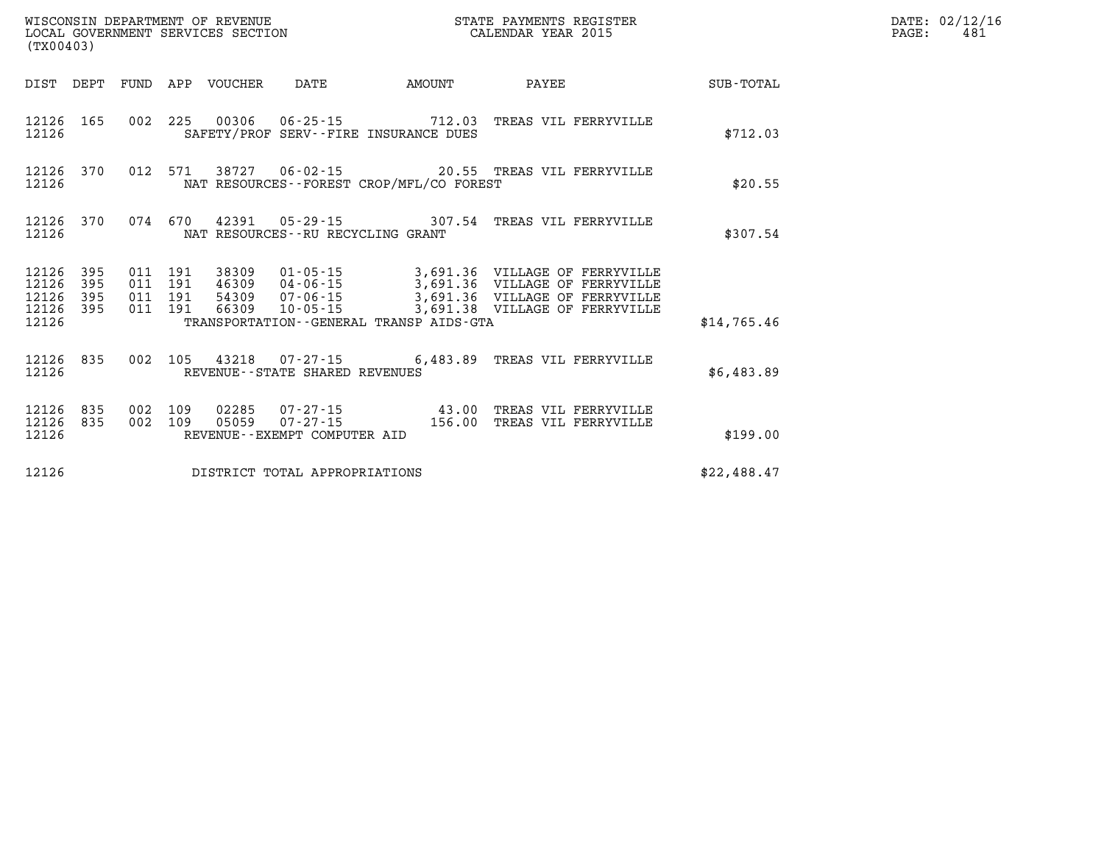| (TX00403) |                               |                   |                                 | WISCONSIN DEPARTMENT OF REVENUE<br>LOCAL GOVERNMENT SERVICES SECTION |                                            | STATE PAYMENTS REGISTER<br>CALENDAR YEAR 2015                                                                                                                                                                                    |             |  |  |  |
|-----------|-------------------------------|-------------------|---------------------------------|----------------------------------------------------------------------|--------------------------------------------|----------------------------------------------------------------------------------------------------------------------------------------------------------------------------------------------------------------------------------|-------------|--|--|--|
|           |                               |                   | DIST DEPT FUND APP VOUCHER DATE |                                                                      | <b>AMOUNT</b>                              | PAYEE                                                                                                                                                                                                                            | SUB-TOTAL   |  |  |  |
| 12126     |                               |                   |                                 |                                                                      | SAFETY/PROF SERV--FIRE INSURANCE DUES      | 12126 165 002 225 00306 06-25-15 712.03 TREAS VIL FERRYVILLE                                                                                                                                                                     | \$712.03    |  |  |  |
| 12126     |                               |                   |                                 |                                                                      | NAT RESOURCES--FOREST CROP/MFL/CO FOREST   | 12126 370 012 571 38727 06-02-15 20.55 TREAS VIL FERRYVILLE                                                                                                                                                                      | \$20.55     |  |  |  |
| 12126     | 12126 370                     |                   |                                 |                                                                      | NAT RESOURCES--RU RECYCLING GRANT          | 074 670 42391 05-29-15 307.54 TREAS VIL FERRYVILLE                                                                                                                                                                               | \$307.54    |  |  |  |
| 12126     | 395<br>12126 395<br>12126 395 | 12126 395 011 191 |                                 |                                                                      |                                            | 011 191 38309 01-05-15 3,691.36 VILLAGE OF FERRYVILLE<br>011 191 46309 04-06-15 3,691.36 VILLAGE OF FERRYVILLE<br>011 191 66309 10-05-15 3,691.36 VILLAGE OF FERRYVILLE<br>011 191 66309 10-05-15 3,691.38 VILLAGE OF FERRYVILLE |             |  |  |  |
| 12126     |                               |                   |                                 |                                                                      | TRANSPORTATION - - GENERAL TRANSP AIDS-GTA |                                                                                                                                                                                                                                  | \$14,765.46 |  |  |  |
| 12126     |                               |                   |                                 | REVENUE--STATE SHARED REVENUES                                       |                                            | 12126 835 002 105 43218 07-27-15 6,483.89 TREAS VIL FERRYVILLE                                                                                                                                                                   | \$6,483.89  |  |  |  |
| 12126     | 12126 835<br>12126 835        | 002 109           |                                 | REVENUE--EXEMPT COMPUTER AID                                         |                                            | 002 109 02285 07-27-15 43.00 TREAS VIL FERRYVILLE<br>002 109 05059 07-27-15 156.00 TREAS VIL FERRYVILLE                                                                                                                          | \$199.00    |  |  |  |
| 12126     |                               |                   |                                 | DISTRICT TOTAL APPROPRIATIONS                                        |                                            |                                                                                                                                                                                                                                  | \$22,488.47 |  |  |  |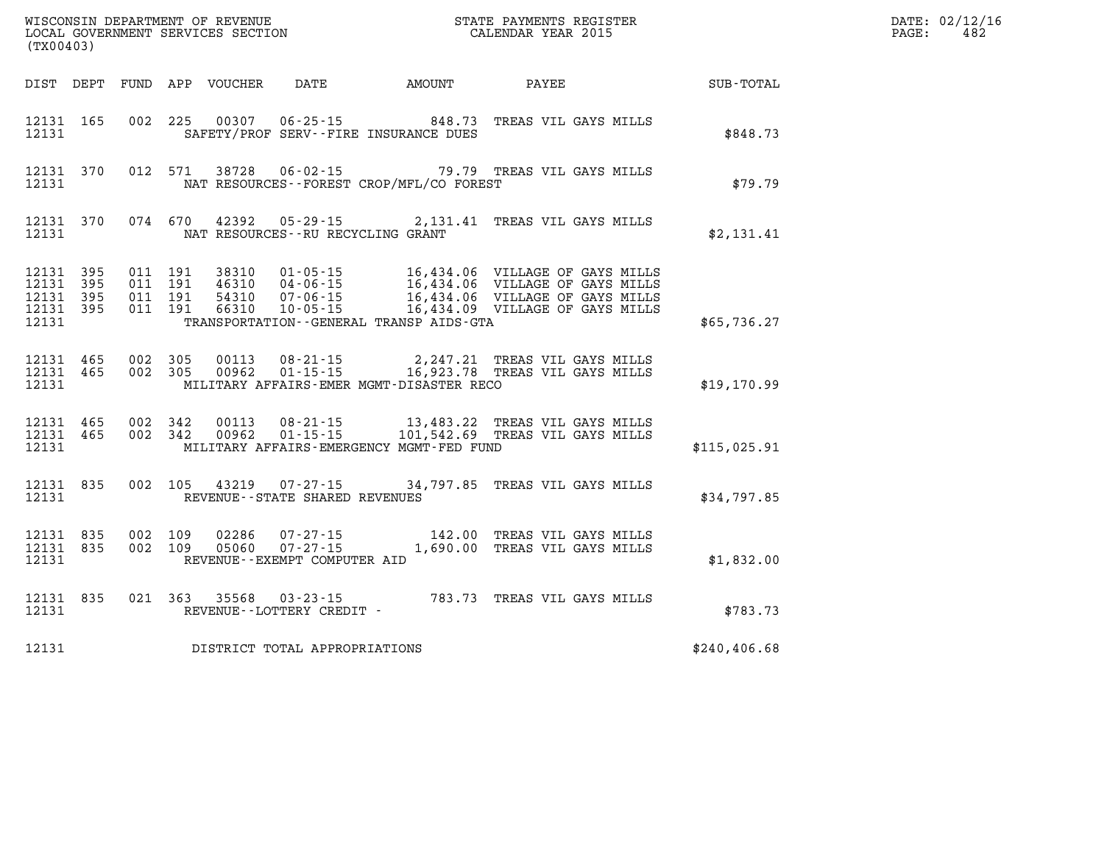| DATE: | 02/12/16 |
|-------|----------|
| PAGE: | 482      |

| (TX00403) |                                                |                                                                                                                                                                                                                                                                                                                                                                          |               | DATE: 02/12/1<br>$\mathtt{PAGE:}$<br>482 |
|-----------|------------------------------------------------|--------------------------------------------------------------------------------------------------------------------------------------------------------------------------------------------------------------------------------------------------------------------------------------------------------------------------------------------------------------------------|---------------|------------------------------------------|
|           |                                                | DIST DEPT FUND APP VOUCHER DATE AMOUNT PAYEE SUB-TOTAL                                                                                                                                                                                                                                                                                                                   |               |                                          |
|           | 12131 SAFETY/PROF SERV--FIRE INSURANCE DUES    | 12131 165 002 225 00307 06-25-15 848.73 TREAS VIL GAYS MILLS                                                                                                                                                                                                                                                                                                             | \$848.73      |                                          |
|           | 12131 NAT RESOURCES--FOREST CROP/MFL/CO FOREST | 12131 370 012 571 38728 06-02-15<br>\$79.79 TREAS VIL GAYS MILLS \$79.79 PREST                                                                                                                                                                                                                                                                                           |               |                                          |
|           | 12131 NAT RESOURCES--RU RECYCLING GRANT        | 12131 370 074 670 42392 05-29-15 2,131.41 TREAS VIL GAYS MILLS                                                                                                                                                                                                                                                                                                           | \$2, 131.41   |                                          |
|           |                                                | $\begin{tabular}{cccc} 12131 & 395 & 011 & 191 & 38310 & 01-05-15 & 16,434.06 & VILLAGE OF GAYS MILLS \\ 12131 & 395 & 011 & 191 & 46310 & 04-06-15 & 16,434.06 & VILLAGE OF GAYS MILLS \\ 12131 & 395 & 011 & 191 & 54310 & 07-06-15 & 16,434.06 & VILLAGE OF GAYS MILLS \\ 12131 & 395 & 011 & 191 & 66310 & 10$<br>12131 TRANSPORTATION - - GENERAL TRANSP AIDS - GTA | \$65,736.27   |                                          |
|           | 12131 MILITARY AFFAIRS-EMER MGMT-DISASTER RECO | 12131 465 002 305 00113 08-21-15 2,247.21 TREAS VIL GAYS MILLS<br>12131 465 002 305 00962 01-15-15 16,923.78 TREAS VIL GAYS MILLS                                                                                                                                                                                                                                        | \$19,170.99   |                                          |
|           | 12131 MILITARY AFFAIRS-EMERGENCY MGMT-FED FUND | $\begin{array}{cccccccc} 12131 & 465 & 002 & 342 & 00113 & 08-21-15 & & 13,483.22 & \text{TREAS VIL GAYS MILLS} \\ 12131 & 465 & 002 & 342 & 00962 & 01-15-15 & & 101,542.69 & \text{TREAS VIL GAYS MILLS} \end{array}$<br>AS VIL GAYS MILLS<br>                                                                                                                         | \$115,025.91  |                                          |
|           | 12131 REVENUE - STATE SHARED REVENUES          | 12131 835 002 105 43219 07-27-15 34,797.85 TREAS VIL GAYS MILLS                                                                                                                                                                                                                                                                                                          | \$34,797.85   |                                          |
|           | 12131 REVENUE - - EXEMPT COMPUTER AID          | $\begin{array}{cccc} 12131 & 835 & 002 & 109 & 02286 & 07\cdot 27\cdot 15 & 142.00 & \text{TREAS VIL GAYS MILLS} \\ 12131 & 835 & 002 & 109 & 05060 & 07\cdot 27\cdot 15 & 1,690.00 & \text{TREAS VIL GAYS MILLS} \end{array}$                                                                                                                                           | \$1,832.00    |                                          |
|           |                                                |                                                                                                                                                                                                                                                                                                                                                                          | \$783.73      |                                          |
|           | 12131 DISTRICT TOTAL APPROPRIATIONS            |                                                                                                                                                                                                                                                                                                                                                                          | \$240, 406.68 |                                          |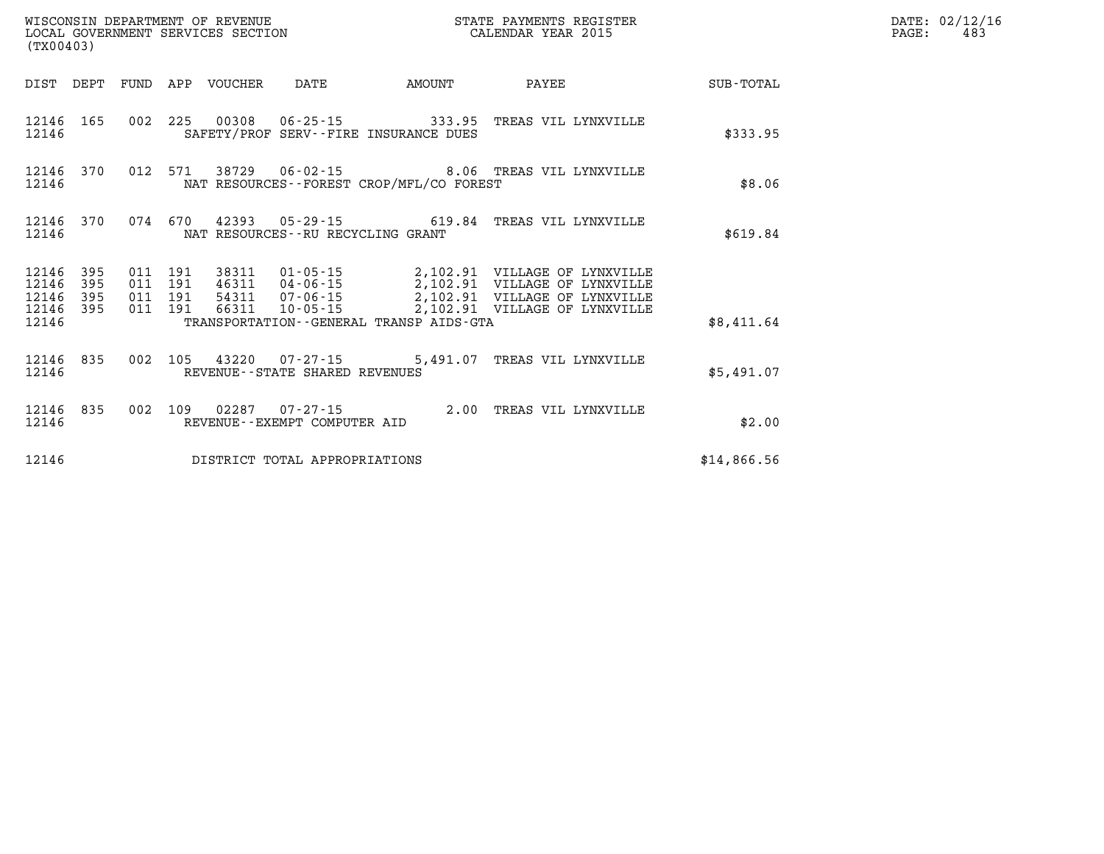| (TX00403)                                                                                                   |                                                                                               |        |              |             | DATE: 02/12/16<br>PAGE:<br>483 |
|-------------------------------------------------------------------------------------------------------------|-----------------------------------------------------------------------------------------------|--------|--------------|-------------|--------------------------------|
| DIST DEPT                                                                                                   | FUND APP VOUCHER DATE                                                                         | AMOUNT | <b>PAYEE</b> | SUB-TOTAL   |                                |
| 12146 165<br>12146                                                                                          | 002 225 00308 06-25-15 333.95 TREAS VIL LYNXVILLE<br>SAFETY/PROF SERV--FIRE INSURANCE DUES    |        |              | \$333.95    |                                |
| 12146 370<br>12146                                                                                          | 012 571 38729 06-02-15 8.06 TREAS VIL LYNXVILLE<br>NAT RESOURCES--FOREST CROP/MFL/CO FOREST   |        |              | \$8.06      |                                |
| 12146 370<br>12146                                                                                          | 074  670  42393  05-29-15  619.84  TREAS VIL LYNXVILLE<br>NAT RESOURCES -- RU RECYCLING GRANT |        |              | \$619.84    |                                |
| 395<br>011 191<br>12146<br>12146<br>191<br>395<br>011<br>12146<br>395<br>011<br>191<br>12146 395<br>011 191 | 38311<br>46311<br>54311<br>66311                                                              |        |              |             |                                |
| 12146                                                                                                       | TRANSPORTATION--GENERAL TRANSP AIDS-GTA                                                       |        |              | \$8,411.64  |                                |
| 12146 835<br>12146                                                                                          | 002 105 43220 07-27-15 5,491.07 TREAS VIL LYNXVILLE<br>REVENUE--STATE SHARED REVENUES         |        |              | \$5,491.07  |                                |
| 12146 835<br>002 109<br>12146                                                                               | 02287  07-27-15  2.00 TREAS VIL LYNXVILLE<br>REVENUE--EXEMPT COMPUTER AID                     |        |              | \$2.00      |                                |
| 12146                                                                                                       | DISTRICT TOTAL APPROPRIATIONS                                                                 |        |              | \$14,866.56 |                                |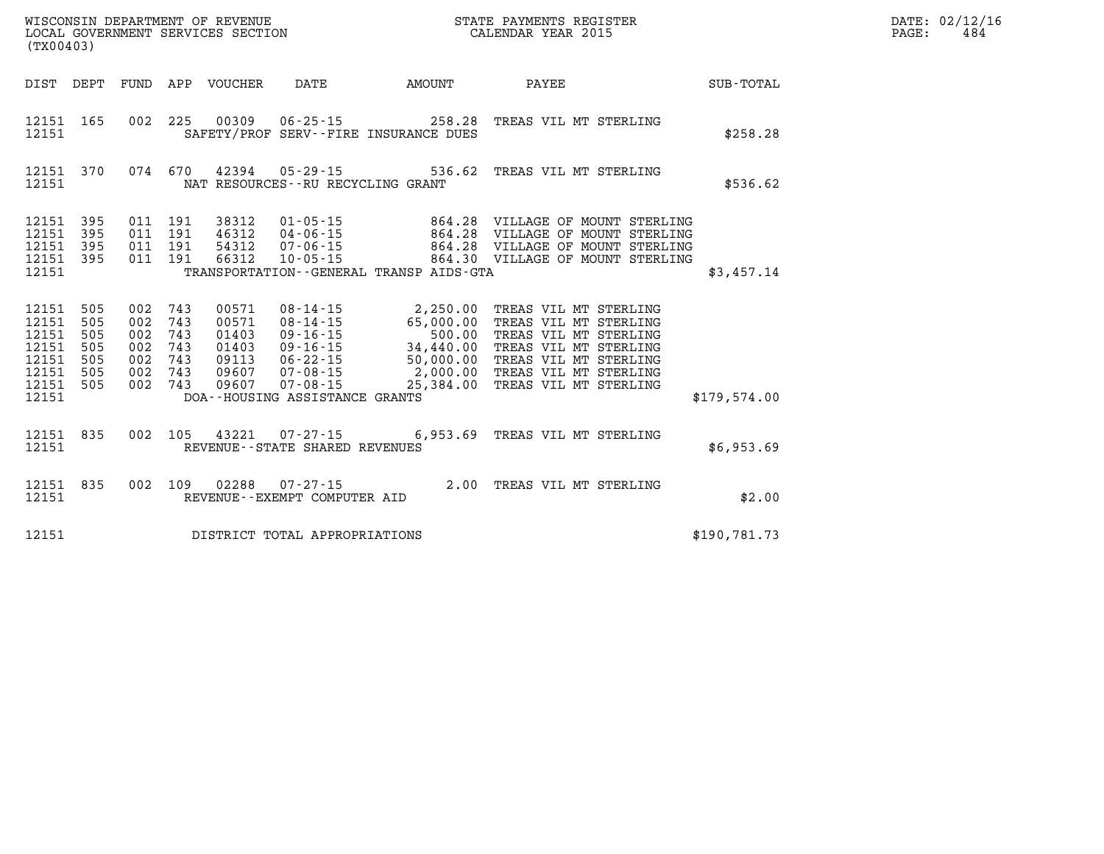| WISCONSIN DEPARTMENT OF REVENUE   | STATE PAYMENTS REGISTER |      | DATE: 02/12/16 |
|-----------------------------------|-------------------------|------|----------------|
| LOCAL GOVERNMENT SERVICES SECTION | CALENDAR YEAR 2015      | PAGE | 484            |

| (TX00403)                                                                |                                        |                    |                                                     | LOCAL GOVERNMENT SERVICES SECTION                           |                                      | CALENDAR YEAR 2015                                                                                                                                                                                                                                                                                             |  |                  |              | PAGE: | 484 |
|--------------------------------------------------------------------------|----------------------------------------|--------------------|-----------------------------------------------------|-------------------------------------------------------------|--------------------------------------|----------------------------------------------------------------------------------------------------------------------------------------------------------------------------------------------------------------------------------------------------------------------------------------------------------------|--|------------------|--------------|-------|-----|
|                                                                          |                                        |                    |                                                     |                                                             |                                      | DIST DEPT FUND APP VOUCHER DATE AMOUNT PAYEE                                                                                                                                                                                                                                                                   |  | <b>SUB-TOTAL</b> |              |       |     |
| 12151 165<br>12151                                                       |                                        |                    |                                                     |                                                             |                                      | 002  225  00309  06-25-15  258.28  TREAS VIL MT STERLING<br>SAFETY/PROF SERV--FIRE INSURANCE DUES                                                                                                                                                                                                              |  |                  | \$258.28     |       |     |
| 12151 370<br>12151                                                       |                                        |                    |                                                     |                                                             | NAT RESOURCES - - RU RECYCLING GRANT | 074 670 42394 05-29-15 536.62 TREAS VIL MT STERLING                                                                                                                                                                                                                                                            |  |                  | \$536.62     |       |     |
| 12151 395<br>12151<br>12151<br>12151 395<br>12151                        | 395<br>395                             |                    | 011 191<br>011 191<br>011 191<br>011 191            | 38312<br>46312<br>54312<br>66312                            | $10 - 05 - 15$                       | TRANSPORTATION - - GENERAL TRANSP AIDS - GTA                                                                                                                                                                                                                                                                   |  |                  | \$3,457.14   |       |     |
| 12151<br>12151<br>12151<br>12151<br>12151<br>12151<br>12151 505<br>12151 | 505<br>505<br>505<br>505<br>505<br>505 | 002 743<br>002 743 | 002 743<br>002 743<br>002 743<br>002 743<br>002 743 | 00571<br>00571<br>01403<br>01403<br>09113<br>09607<br>09607 | DOA--HOUSING ASSISTANCE GRANTS       | 08-14-15 2,250.00 TREAS VIL MT STERLING<br>08-14-15 65,000.00 TREAS VIL MT STERLING<br>09-16-15 34,440.00 TREAS VIL MT STERLING<br>09-16-15 34,440.00 TREAS VIL MT STERLING<br>06-22-15 50,000.00 TREAS VIL MT STERLING<br>07-08-15 2,000.00 TREAS VIL MT STERLING<br>07-08-15 25,384.00 TREAS VIL MT STERLING |  |                  | \$179,574.00 |       |     |
| 12151 835<br>12151                                                       |                                        |                    |                                                     |                                                             | REVENUE--STATE SHARED REVENUES       | 002 105 43221 07-27-15 6,953.69 TREAS VIL MT STERLING                                                                                                                                                                                                                                                          |  |                  | \$6,953.69   |       |     |
| 12151 835<br>12151                                                       |                                        |                    |                                                     | 002 109 02288                                               |                                      | 109 02288 07-27-15 2.00 TREAS VIL MT STERLING<br>REVENUE--EXEMPT COMPUTER AID                                                                                                                                                                                                                                  |  |                  | \$2.00       |       |     |
| 12151                                                                    |                                        |                    |                                                     |                                                             | DISTRICT TOTAL APPROPRIATIONS        |                                                                                                                                                                                                                                                                                                                |  |                  | \$190,781.73 |       |     |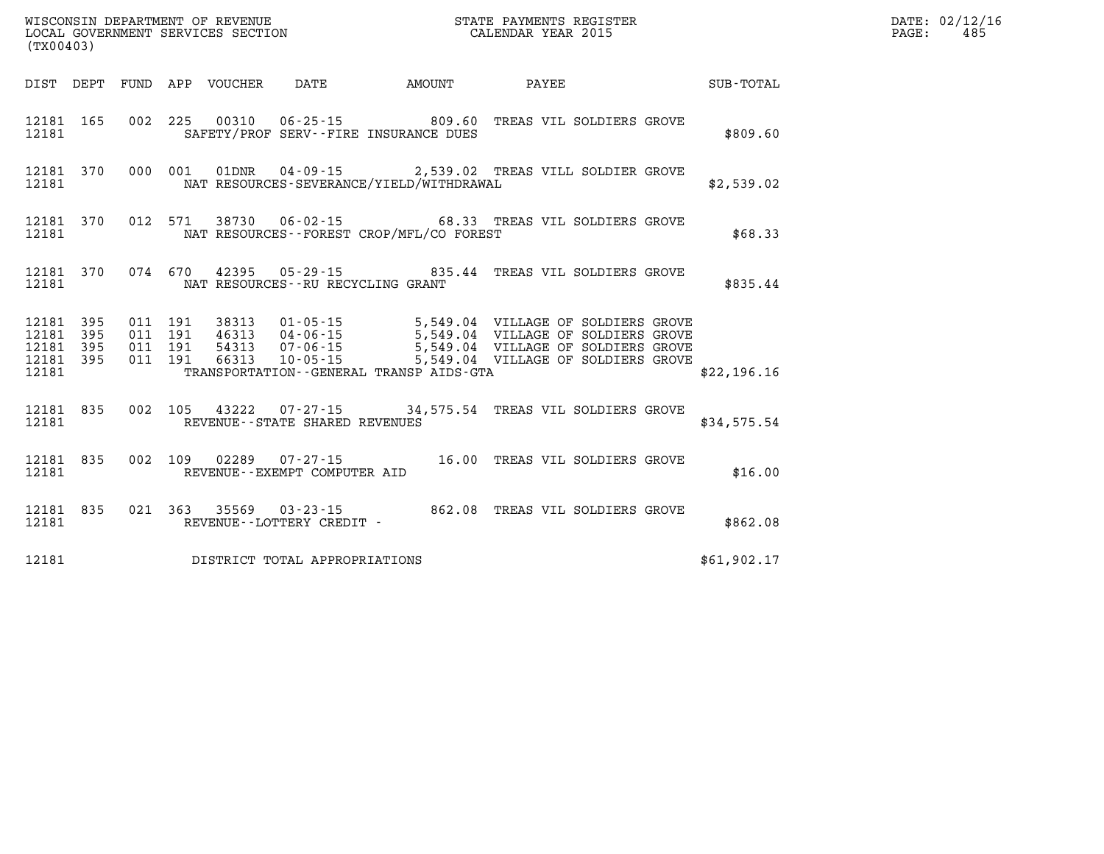|                                               | WISCONSIN DEPARTMENT OF REVENUE<br>LOCAL GOVERNMENT SERVICES SECTION<br>(TYA0442)<br>STATE PAYMENTS REGISTER<br>CALENDAR YEAR 2015<br>(TX00403) |                          |                          |       |                                     |                                                                    |                                                                                                      |             |  |  |  |
|-----------------------------------------------|-------------------------------------------------------------------------------------------------------------------------------------------------|--------------------------|--------------------------|-------|-------------------------------------|--------------------------------------------------------------------|------------------------------------------------------------------------------------------------------|-------------|--|--|--|
|                                               |                                                                                                                                                 |                          |                          |       |                                     | DIST DEPT FUND APP VOUCHER DATE AMOUNT PAYEE                       |                                                                                                      | SUB-TOTAL   |  |  |  |
| 12181<br>12181                                | 165                                                                                                                                             | 002                      |                          |       |                                     | 225 00310 06-25-15 809.60<br>SAFETY/PROF SERV--FIRE INSURANCE DUES | TREAS VIL SOLDIERS GROVE                                                                             | \$809.60    |  |  |  |
| 12181                                         | 12181 370                                                                                                                                       | 000                      | 001                      |       |                                     |                                                                    | 01   01DNR   04-09-15   2,539.02   TREAS VILL SOLDIER GROVE NAT RESOURCES-SEVERANCE/YIELD/WITHDRAWAL | \$2,539.02  |  |  |  |
| 12181                                         | 12181 370                                                                                                                                       | 012                      | 571                      | 38730 |                                     | NAT RESOURCES - - FOREST CROP/MFL/CO FOREST                        | 06-02-15 68.33 TREAS VIL SOLDIERS GROVE                                                              | \$68.33     |  |  |  |
| 12181<br>12181                                | 370                                                                                                                                             |                          |                          |       |                                     | NAT RESOURCES -- RU RECYCLING GRANT                                | 074 670 42395 05-29-15 835.44 TREAS VIL SOLDIERS GROVE                                               | \$835.44    |  |  |  |
| 12181<br>12181<br>12181 395<br>12181<br>12181 | 395<br>395<br>395                                                                                                                               | 011<br>011<br>011<br>011 | 191<br>191<br>191<br>191 |       |                                     | TRANSPORTATION--GENERAL TRANSP AIDS-GTA                            |                                                                                                      | \$22,196.16 |  |  |  |
| 12181<br>12181                                | 835                                                                                                                                             | 002                      |                          |       | REVENUE - - STATE SHARED REVENUES   |                                                                    | 105 43222 07-27-15 34,575.54 TREAS VIL SOLDIERS GROVE                                                | \$34,575.54 |  |  |  |
| 12181<br>12181                                | 835                                                                                                                                             | 002                      | 109                      | 02289 | REVENUE--EXEMPT COMPUTER AID        | $07 - 27 - 15$ 16.00                                               | TREAS VIL SOLDIERS GROVE                                                                             | \$16.00     |  |  |  |
| 12181<br>12181                                | 835                                                                                                                                             |                          |                          |       | REVENUE--LOTTERY CREDIT -           | 021 363 35569 03-23-15 862.08                                      | TREAS VIL SOLDIERS GROVE                                                                             | \$862.08    |  |  |  |
|                                               |                                                                                                                                                 |                          |                          |       | 12181 DISTRICT TOTAL APPROPRIATIONS |                                                                    |                                                                                                      | \$61,902.17 |  |  |  |

**DATE: 02/12/16<br>PAGE: 485**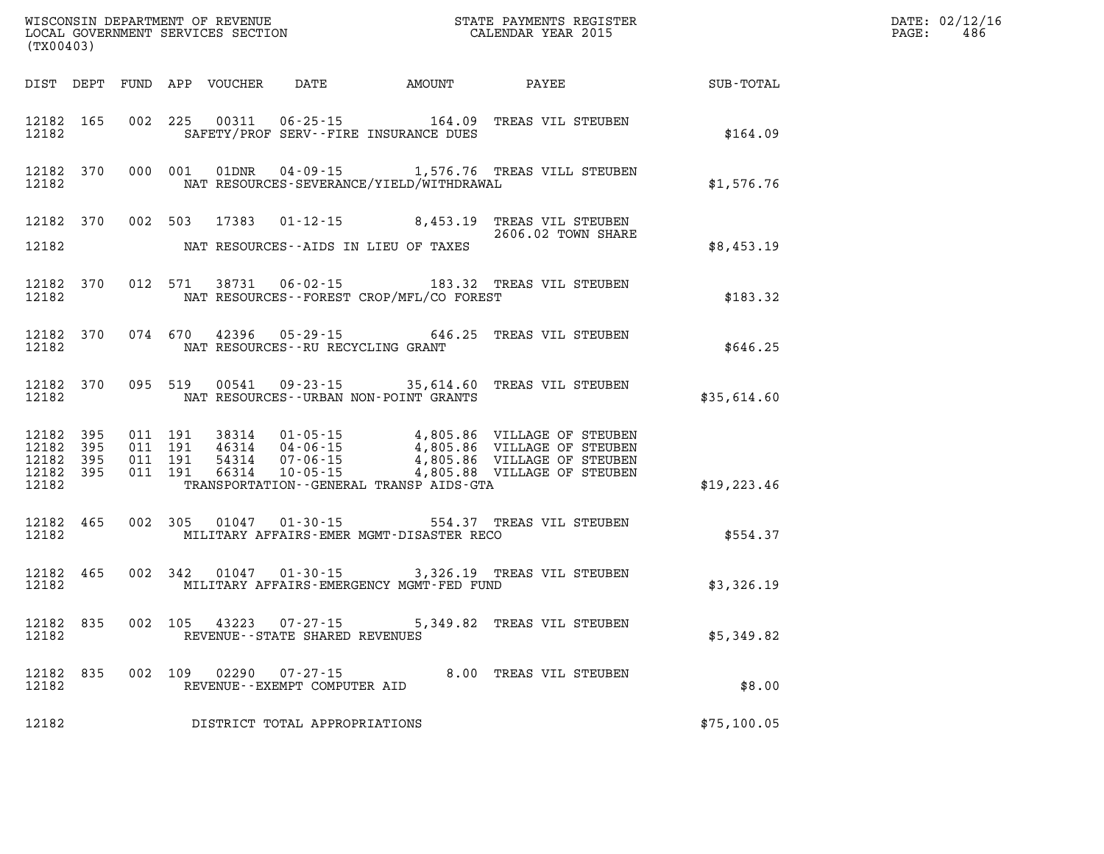| (TX00403)                                                 |           |                                          |         |                         | WISCONSIN DEPARTMENT OF REVENUE<br>LOCAL GOVERNMENT SERVICES SECTION TERM CONFINENTS REGISTER<br>CALENDAR YEAR 2015 |                                              | DATE: 02/12/16<br>$\mathtt{PAGE:}$<br>486                                                                                                                                                        |                  |  |
|-----------------------------------------------------------|-----------|------------------------------------------|---------|-------------------------|---------------------------------------------------------------------------------------------------------------------|----------------------------------------------|--------------------------------------------------------------------------------------------------------------------------------------------------------------------------------------------------|------------------|--|
|                                                           |           |                                          |         |                         |                                                                                                                     | DIST DEPT FUND APP VOUCHER DATE AMOUNT PAYEE |                                                                                                                                                                                                  | <b>SUB-TOTAL</b> |  |
| 12182                                                     | 12182 165 |                                          |         |                         |                                                                                                                     | SAFETY/PROF SERV--FIRE INSURANCE DUES        | 002 225 00311 06-25-15 164.09 TREAS VIL STEUBEN                                                                                                                                                  | \$164.09         |  |
| 12182                                                     | 12182 370 |                                          |         | 000 001 01DNR           |                                                                                                                     | NAT RESOURCES-SEVERANCE/YIELD/WITHDRAWAL     | 04-09-15 1,576.76 TREAS VILL STEUBEN                                                                                                                                                             | \$1,576.76       |  |
| 12182                                                     |           |                                          |         |                         |                                                                                                                     | NAT RESOURCES--AIDS IN LIEU OF TAXES         | 12182 370 002 503 17383 01-12-15 8,453.19 TREAS VIL STEUBEN<br>2606.02 TOWN SHARE                                                                                                                | \$8,453.19       |  |
| 12182                                                     |           |                                          |         |                         |                                                                                                                     | NAT RESOURCES - - FOREST CROP/MFL/CO FOREST  | 12182 370 012 571 38731 06-02-15 183.32 TREAS VIL STEUBEN                                                                                                                                        | \$183.32         |  |
| 12182                                                     | 12182 370 |                                          |         |                         | NAT RESOURCES--RU RECYCLING GRANT                                                                                   |                                              | 074 670 42396 05-29-15 646.25 TREAS VIL STEUBEN                                                                                                                                                  | \$646.25         |  |
| 12182                                                     |           |                                          |         | 12182 370 095 519 00541 |                                                                                                                     | NAT RESOURCES--URBAN NON-POINT GRANTS        | 09-23-15 35,614.60 TREAS VIL STEUBEN                                                                                                                                                             | \$35,614.60      |  |
| 12182 395<br>12182 395<br>12182 395<br>12182 395<br>12182 |           | 011 191<br>011 191<br>011 191<br>011 191 |         |                         |                                                                                                                     | TRANSPORTATION--GENERAL TRANSP AIDS-GTA      | 38314  01-05-15  4,805.86  VILLAGE OF STEUBEN<br>46314  04-06-15  4,805.86  VILLAGE OF STEUBEN<br>54314  07-06-15  4,805.86  VILLAGE OF STEUBEN<br>66314  10-05-15  4,805.88  VILLAGE OF STEUBEN | \$19, 223.46     |  |
| 12182                                                     | 12182 465 |                                          |         |                         |                                                                                                                     | MILITARY AFFAIRS-EMER MGMT-DISASTER RECO     | 002 305 01047 01-30-15 554.37 TREAS VIL STEUBEN                                                                                                                                                  | \$554.37         |  |
| 12182                                                     | 12182 465 |                                          |         |                         |                                                                                                                     | MILITARY AFFAIRS-EMERGENCY MGMT-FED FUND     | 002 342 01047 01-30-15 3,326.19 TREAS VIL STEUBEN                                                                                                                                                | \$3,326.19       |  |
| 12182                                                     | 12182 835 |                                          |         |                         | 002 105 43223 07-27-15<br>REVENUE--STATE SHARED REVENUES                                                            |                                              | 5,349.82 TREAS VIL STEUBEN                                                                                                                                                                       | \$5,349.82       |  |
| 12182                                                     | 12182 835 |                                          | 002 109 |                         | REVENUE--EXEMPT COMPUTER AID                                                                                        |                                              | 02290  07-27-15  8.00 TREAS VIL STEUBEN                                                                                                                                                          | \$8.00           |  |
| 12182                                                     |           |                                          |         |                         | DISTRICT TOTAL APPROPRIATIONS                                                                                       |                                              |                                                                                                                                                                                                  | \$75,100.05      |  |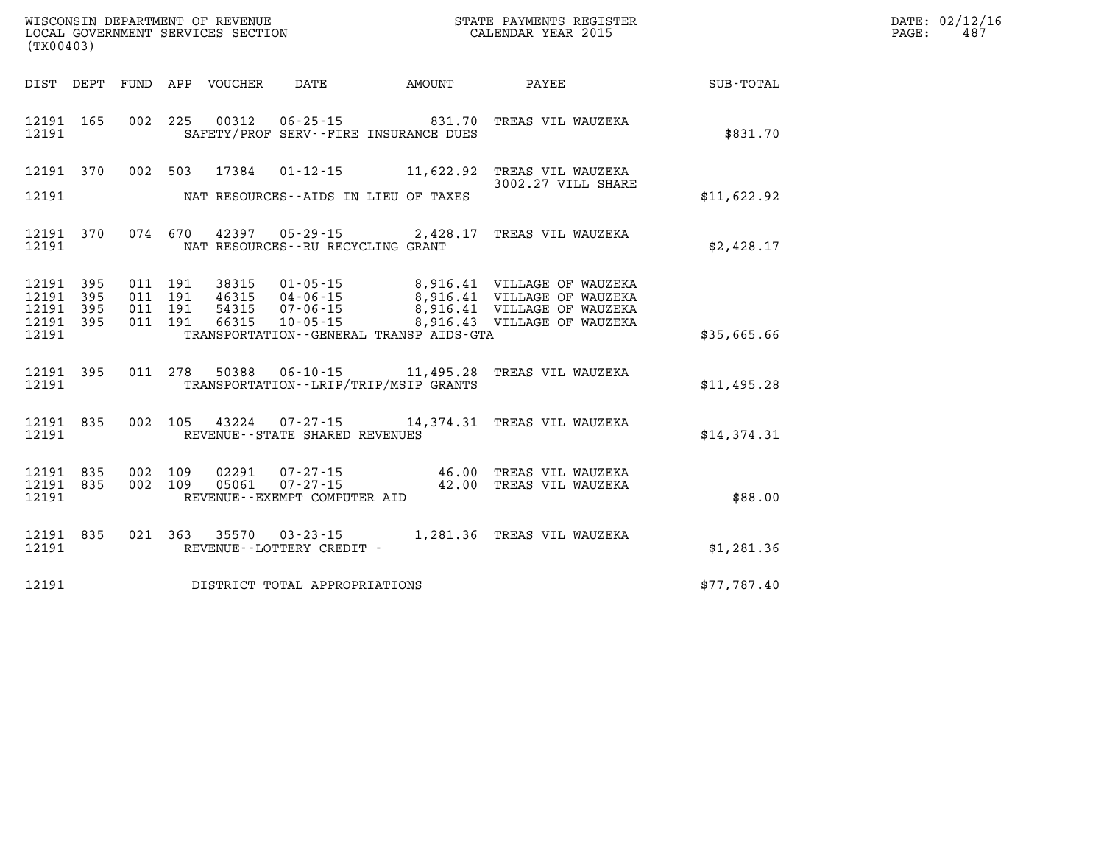| (TX00403)               |            |                |            | WISCONSIN DEPARTMENT OF REVENUE<br>LOCAL GOVERNMENT SERVICES SECTION |                                   |                                                                    | STATE PAYMENTS REGISTER<br>CALENDAR YEAR 2015                                |             | DATE: 02/12/16<br>$\mathtt{PAGE}$ :<br>487 |
|-------------------------|------------|----------------|------------|----------------------------------------------------------------------|-----------------------------------|--------------------------------------------------------------------|------------------------------------------------------------------------------|-------------|--------------------------------------------|
|                         |            |                |            | DIST DEPT FUND APP VOUCHER                                           | DATE                              | AMOUNT                                                             | PAYEE                                                                        | SUB-TOTAL   |                                            |
| 12191 165<br>12191      |            | 002            |            |                                                                      |                                   | 225 00312 06-25-15 831.70<br>SAFETY/PROF SERV--FIRE INSURANCE DUES | TREAS VIL WAUZEKA                                                            | \$831.70    |                                            |
|                         | 12191 370  |                |            |                                                                      |                                   |                                                                    | 002 503 17384 01-12-15 11,622.92 TREAS VIL WAUZEKA<br>3002.27 VILL SHARE     |             |                                            |
| 12191                   |            |                |            |                                                                      |                                   | NAT RESOURCES--AIDS IN LIEU OF TAXES                               |                                                                              | \$11,622.92 |                                            |
| 12191                   | 12191 370  |                |            |                                                                      | NAT RESOURCES--RU RECYCLING GRANT |                                                                    | 074 670 42397 05-29-15 2,428.17 TREAS VIL WAUZEKA                            | \$2,428.17  |                                            |
| 12191 395<br>12191      | 395        | 011<br>011     | 191<br>191 | 38315<br>46315                                                       |                                   |                                                                    | 01-05-15 8,916.41 VILLAGE OF WAUZEKA<br>04-06-15 8,916.41 VILLAGE OF WAUZEKA |             |                                            |
| 12191<br>12191<br>12191 | 395<br>395 | 011 191<br>011 | 191        | 54315<br>66315                                                       | $10 - 05 - 15$                    | TRANSPORTATION - - GENERAL TRANSP AIDS - GTA                       | 8,916.43 VILLAGE OF WAUZEKA                                                  | \$35,665.66 |                                            |
| 12191                   | 12191 395  |                |            |                                                                      |                                   | TRANSPORTATION - - LRIP/TRIP/MSIP GRANTS                           | 011 278 50388 06-10-15 11,495.28 TREAS VIL WAUZEKA                           | \$11,495.28 |                                            |

**12191 835 002 105 43224 07-27-15 14,374.31 TREAS VIL WAUZEKA 12191 REVENUE--STATE SHARED REVENUES \$14,374.31** 

|       |  |  | 12191 835 002 109 02291 07-27-15 | 46.00 TREAS VIL WAUZEKA |         |
|-------|--|--|----------------------------------|-------------------------|---------|
|       |  |  | 12191 835 002 109 05061 07-27-15 | 42.00 TREAS VIL WAUZEKA |         |
| 12191 |  |  | REVENUE--EXEMPT COMPUTER AID     |                         | \$88.00 |

**12191 835 021 363 35570 03-23-15 1,281.36 TREAS VIL WAUZEKA 12191 REVENUE--LOTTERY CREDIT - \$1,281.36** 

**12191 DISTRICT TOTAL APPROPRIATIONS \$77,787.40**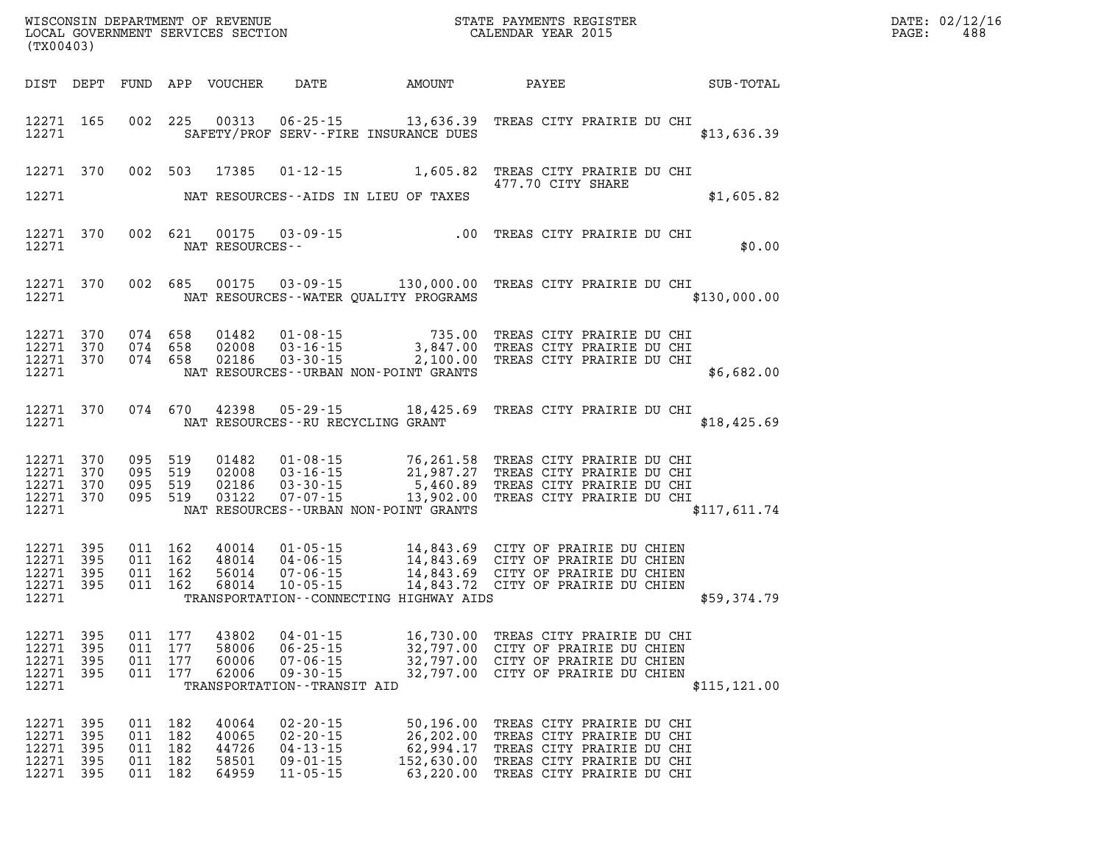| DATE: | 02/12/16 |
|-------|----------|
| PAGE: | 488      |

| (TX00403)                                    |                                      |         |                                                     |                                           |                                                                                        |                                             | DATE: 02/12/1<br>$\mathtt{PAGE:}$<br>488                                                                                                                                                                                                                                                                                                       |                                                        |  |
|----------------------------------------------|--------------------------------------|---------|-----------------------------------------------------|-------------------------------------------|----------------------------------------------------------------------------------------|---------------------------------------------|------------------------------------------------------------------------------------------------------------------------------------------------------------------------------------------------------------------------------------------------------------------------------------------------------------------------------------------------|--------------------------------------------------------|--|
|                                              |                                      |         |                                                     |                                           |                                                                                        |                                             |                                                                                                                                                                                                                                                                                                                                                | DIST DEPT FUND APP VOUCHER DATE AMOUNT PAYEE SUB-TOTAL |  |
| 12271                                        | 12271 165                            |         |                                                     |                                           |                                                                                        | SAFETY/PROF SERV--FIRE INSURANCE DUES       | 002 225 00313 06-25-15 13,636.39 TREAS CITY PRAIRIE DU CHI                                                                                                                                                                                                                                                                                     | \$13,636.39                                            |  |
|                                              |                                      |         |                                                     |                                           |                                                                                        |                                             | 12271 370 002 503 17385 01-12-15 1,605.82 TREAS CITY PRAIRIE DU CHI<br>477.70 CITY SHARE                                                                                                                                                                                                                                                       |                                                        |  |
|                                              |                                      |         |                                                     |                                           |                                                                                        | 12271 NAT RESOURCES--AIDS IN LIEU OF TAXES  |                                                                                                                                                                                                                                                                                                                                                | \$1,605.82                                             |  |
|                                              | 12271 370<br>12271                   |         |                                                     | NAT RESOURCES--                           |                                                                                        |                                             | 002 621 00175 03-09-15 .00 TREAS CITY PRAIRIE DU CHI                                                                                                                                                                                                                                                                                           | \$0.00                                                 |  |
|                                              | 12271                                |         |                                                     |                                           |                                                                                        | NAT RESOURCES--WATER QUALITY PROGRAMS       | 12271 370 002 685 00175 03-09-15 130,000.00 TREAS CITY PRAIRIE DU CHI                                                                                                                                                                                                                                                                          | \$130,000.00                                           |  |
|                                              |                                      |         |                                                     |                                           |                                                                                        | 12271 NAT RESOURCES--URBAN NON-POINT GRANTS | $\begin{array}{cccc} 12271 & 370 & 074 & 658 & 01482 & 01\cdot 08\cdot 15 & 735.00 & \text{TREAS CITY PRAIRIE DU CHI} \\ 12271 & 370 & 074 & 658 & 02008 & 03\cdot 16\cdot 15 & 3,847.00 & \text{TREAS CITY PRAIRIE DU CHI} \\ 12271 & 370 & 074 & 658 & 02186 & 03\cdot 30\cdot 15 & 2,100.00 & \text{TREAS CITY PRAIRIE DU CHI} \end{array}$ | \$6,682.00                                             |  |
|                                              |                                      |         |                                                     |                                           |                                                                                        | 12271 NAT RESOURCES--RU RECYCLING GRANT     | 12271 370 074 670 42398 05-29-15 18,425.69 TREAS CITY PRAIRIE DU CHI                                                                                                                                                                                                                                                                           | \$18,425.69                                            |  |
|                                              | 12271                                |         |                                                     |                                           |                                                                                        | NAT RESOURCES--URBAN NON-POINT GRANTS       | 12271 370 095 519 01482 01-08-15 76,261.58 TREAS CITY PRAIRIE DU CHI<br>12271 370 095 519 02008 03-16-15 21,987.27 TREAS CITY PRAIRIE DU CHI<br>12271 370 095 519 02186 03-30-15 5,460.89 TREAS CITY PRAIRIE DU CHI<br>12271 370 095 51                                                                                                        | \$117,611.74                                           |  |
| 12271 395<br>12271 395<br>12271 395<br>12271 | 12271 395                            |         |                                                     |                                           |                                                                                        |                                             | 011 162 40014 01-05-15 14,843.69 CITY OF PRAIRIE DU CHIEN<br>011 162 48014 04-06-15 14,843.69 CITY OF PRAIRIE DU CHIEN<br>011 162 68014 10-05-15 14,843.69 CITY OF PRAIRIE DU CHIEN<br>011 162 68014 10-05-15 14,843.72 CITY OF PRAIRIE<br>TRANSPORTATION--CONNECTING HIGHWAY AIDS                                                             | \$59,374.79                                            |  |
| 12271 395<br>12271<br>12271<br>12271         | - 395<br>395                         | 011 177 | 011 177<br>011 177                                  | 58006<br>60006<br>62006                   | $06 - 25 - 15$<br>$07 - 06 - 15$<br>$09 - 30 - 15$<br>TRANSPORTATION - - TRANSIT AID   |                                             | 12271 395 011 177 43802 04-01-15 16,730.00 TREAS CITY PRAIRIE DU CHI<br>32,797.00 CITY OF PRAIRIE DU CHIEN<br>32,797.00 CITY OF PRAIRIE DU CHIEN<br>32,797.00 CITY OF PRAIRIE DU CHIEN                                                                                                                                                         | \$115, 121.00                                          |  |
| 12271<br>12271<br>12271<br>12271<br>12271    | -395<br>-395<br>395<br>-395<br>- 395 |         | 011 182<br>011 182<br>011 182<br>011 182<br>011 182 | 40064<br>40065<br>44726<br>58501<br>64959 | $02 - 20 - 15$<br>$02 - 20 - 15$<br>$04 - 13 - 15$<br>$09 - 01 - 15$<br>$11 - 05 - 15$ |                                             | 50,196.00 TREAS CITY PRAIRIE DU CHI<br>26,202.00 TREAS CITY PRAIRIE DU CHI<br>62,994.17 TREAS CITY PRAIRIE DU CHI<br>152,630.00 TREAS CITY PRAIRIE DU CHI<br>63,220.00 TREAS CITY PRAIRIE DU CHI                                                                                                                                               |                                                        |  |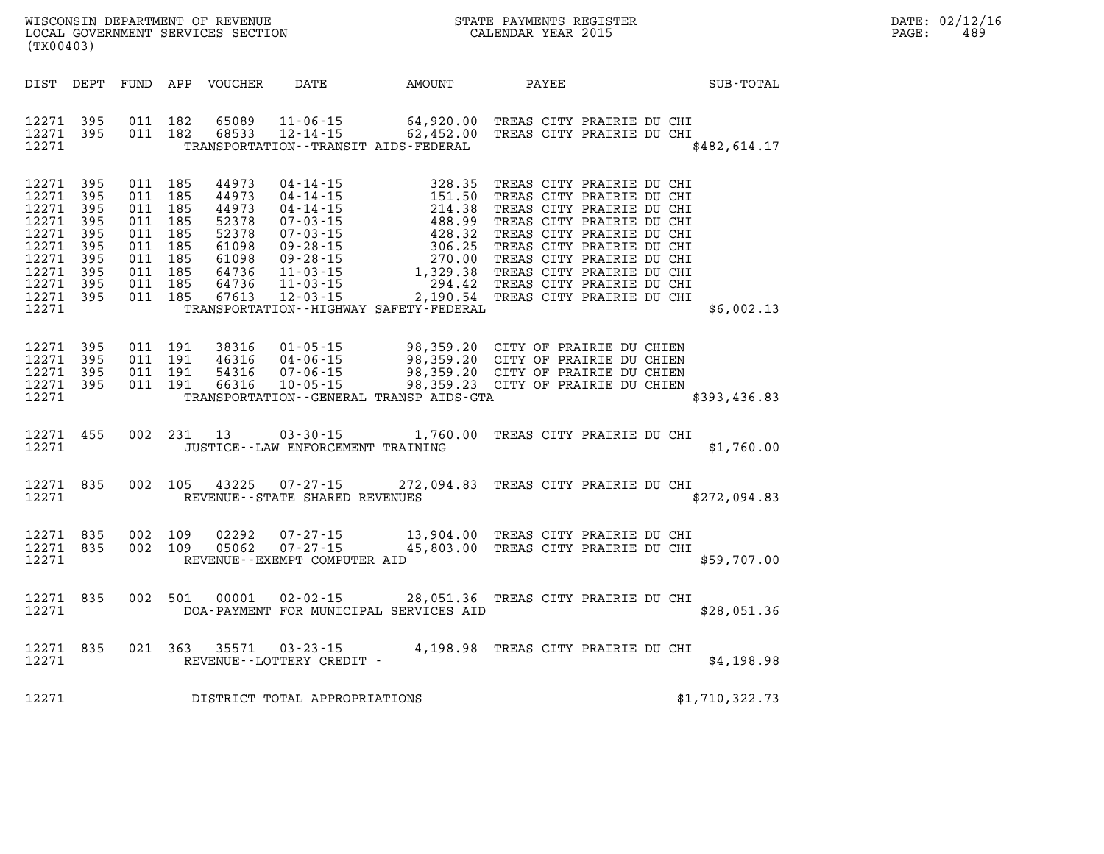| (TX00403)                                                                                                                                                             |                                                                    |                                                                                                                                                              |                                                                  |                                                                                                                                                                                                                                                                                                                                                   |                                                                                                                                                                                                                                                                                                |                |
|-----------------------------------------------------------------------------------------------------------------------------------------------------------------------|--------------------------------------------------------------------|--------------------------------------------------------------------------------------------------------------------------------------------------------------|------------------------------------------------------------------|---------------------------------------------------------------------------------------------------------------------------------------------------------------------------------------------------------------------------------------------------------------------------------------------------------------------------------------------------|------------------------------------------------------------------------------------------------------------------------------------------------------------------------------------------------------------------------------------------------------------------------------------------------|----------------|
| DIST<br>DEPT                                                                                                                                                          | FUND                                                               | APP<br>VOUCHER DATE                                                                                                                                          |                                                                  | AMOUNT                                                                                                                                                                                                                                                                                                                                            | PAYEE                                                                                                                                                                                                                                                                                          | SUB-TOTAL      |
| 12271<br>395<br>12271<br>395<br>12271                                                                                                                                 | 011<br>011                                                         | 182<br>65089<br>68533<br>182                                                                                                                                 |                                                                  | TRANSPORTATION - - TRANSIT AIDS - FEDERAL                                                                                                                                                                                                                                                                                                         | 11-06-15 64,920.00 TREAS CITY PRAIRIE DU CHI<br>12-14-15 62,452.00 TREAS CITY PRAIRIE DU CHI                                                                                                                                                                                                   | \$482,614.17   |
| 12271<br>395<br>12271<br>395<br>12271<br>395<br>12271<br>395<br>12271<br>395<br>12271<br>395<br>12271<br>395<br>12271<br>395<br>12271<br>395<br>12271<br>395<br>12271 | 011<br>011<br>011<br>011<br>011<br>011<br>011<br>011<br>011<br>011 | 185<br>44973<br>185<br>44973<br>185<br>44973<br>185<br>52378<br>185<br>52378<br>185<br>61098<br>185<br>61098<br>185<br>64736<br>185<br>64736<br>185<br>67613 | $04 - 14 - 15$                                                   | 328.35<br>04-14-15<br>04-14-15<br>04-14-15<br>04-14-15<br>05-03-15<br>07-03-15<br>07-03-15<br>07-03-15<br>09-28-15<br>09-28-15<br>09-28-15<br>09-28-15<br>11-03-15<br>1,329.38<br>11-03-15<br>2,204.42<br>103-15<br>2,204.42<br>103-15<br>2,204.42<br>103-15<br>2,204.42<br>103-15<br><br>2,190.54<br>TRANSPORTATION - - HIGHWAY SAFETY - FEDERAL | TREAS CITY PRAIRIE DU CHI<br>TREAS CITY PRAIRIE DU CHI<br>TREAS CITY PRAIRIE DU CHI<br>TREAS CITY PRAIRIE DU CHI<br>TREAS CITY PRAIRIE DU CHI<br>TREAS CITY PRAIRIE DU CHI<br>TREAS CITY PRAIRIE DU CHI<br>TREAS CITY PRAIRIE DU CHI<br>TREAS CITY PRAIRIE DU CHI<br>TREAS CITY PRAIRIE DU CHI | \$6,002.13     |
| 12271<br>395<br>12271<br>395<br>12271<br>395<br>12271<br>395<br>12271                                                                                                 | 011<br>011<br>011<br>011                                           | 191<br>38316<br>191<br>46316<br>191<br>54316<br>66316<br>191                                                                                                 | $01 - 05 - 15$                                                   | 98,359.20<br>TRANSPORTATION - - GENERAL TRANSP AIDS - GTA                                                                                                                                                                                                                                                                                         | CITY OF PRAIRIE DU CHIEN<br>04-06-15 98,359.20 CITY OF PRAIRIE DU CHIEN<br>07-06-15 98,359.20 CITY OF PRAIRIE DU CHIEN<br>10-05-15 98,359.23 CITY OF PRAIRIE DU CHIEN                                                                                                                          | \$393,436.83   |
| 12271<br>455<br>12271                                                                                                                                                 | 002                                                                | 231<br>13                                                                                                                                                    | JUSTICE - - LAW ENFORCEMENT TRAINING                             | $03 - 30 - 15$ 1,760.00                                                                                                                                                                                                                                                                                                                           | TREAS CITY PRAIRIE DU CHI                                                                                                                                                                                                                                                                      | \$1,760.00     |
| 12271<br>835<br>12271                                                                                                                                                 | 002                                                                | 105<br>43225                                                                                                                                                 | $07 - 27 - 15$<br>REVENUE - - STATE SHARED REVENUES              |                                                                                                                                                                                                                                                                                                                                                   | 272,094.83 TREAS CITY PRAIRIE DU CHI                                                                                                                                                                                                                                                           | \$272,094.83   |
| 12271<br>835<br>12271<br>835<br>12271                                                                                                                                 | 002<br>002                                                         | 109<br>02292<br>05062<br>109                                                                                                                                 | $07 - 27 - 15$<br>$07 - 27 - 15$<br>REVENUE--EXEMPT COMPUTER AID |                                                                                                                                                                                                                                                                                                                                                   | 13,904.00 TREAS CITY PRAIRIE DU CHI<br>45,803.00 TREAS CITY PRAIRIE DU CHI                                                                                                                                                                                                                     | \$59,707.00    |
| 12271<br>835<br>12271                                                                                                                                                 | 002                                                                | 501<br>00001                                                                                                                                                 | $02 - 02 - 15$                                                   | 28,051.36<br>DOA-PAYMENT FOR MUNICIPAL SERVICES AID                                                                                                                                                                                                                                                                                               | TREAS CITY PRAIRIE DU CHI                                                                                                                                                                                                                                                                      | \$28,051.36    |
| 835<br>12271<br>12271                                                                                                                                                 | 021                                                                | 363<br>35571                                                                                                                                                 | $03 - 23 - 15$<br>REVENUE - - LOTTERY CREDIT -                   |                                                                                                                                                                                                                                                                                                                                                   | 4,198.98 TREAS CITY PRAIRIE DU CHI                                                                                                                                                                                                                                                             | \$4,198.98     |
| 12271                                                                                                                                                                 |                                                                    |                                                                                                                                                              | DISTRICT TOTAL APPROPRIATIONS                                    |                                                                                                                                                                                                                                                                                                                                                   |                                                                                                                                                                                                                                                                                                | \$1,710,322.73 |

WISCONSIN DEPARTMENT OF REVENUE **STATE PAYMENTS REGISTER**<br>LOCAL GOVERNMENT SERVICES SECTION

LOCAL GOVERNMENT SERVICES SECTION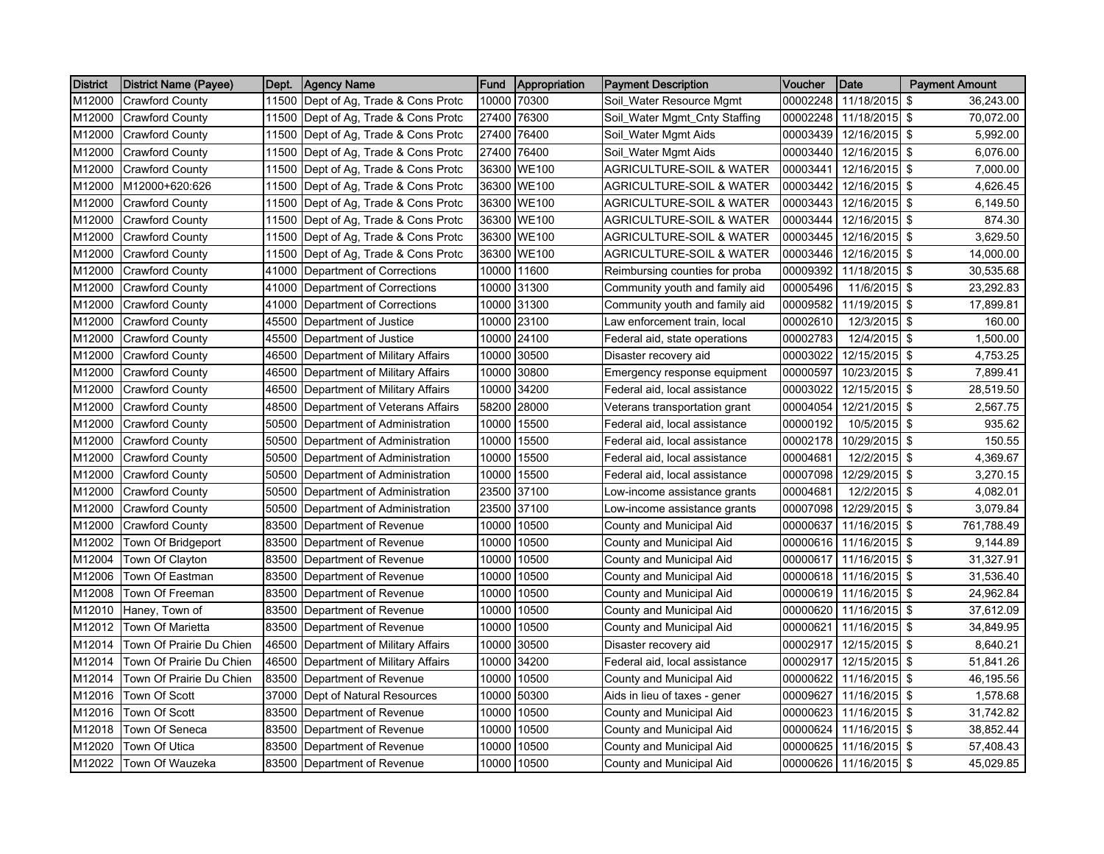| <b>District</b> | District Name (Payee)    | Dept. | <b>Agency Name</b>                   | <b>Fund</b> | Appropriation | <b>IPayment Description</b>         | Voucher  | <b>Date</b>   | <b>Payment Amount</b> |
|-----------------|--------------------------|-------|--------------------------------------|-------------|---------------|-------------------------------------|----------|---------------|-----------------------|
| M12000          | <b>Crawford County</b>   | 11500 | Dept of Ag, Trade & Cons Protc       | 10000       | 70300         | Soil Water Resource Mgmt            | 00002248 | 11/18/2015 \$ | 36,243.00             |
| M12000          | <b>Crawford County</b>   | 11500 | Dept of Ag, Trade & Cons Protc       |             | 27400 76300   | Soil_Water Mgmt_Cnty Staffing       | 00002248 | 11/18/2015 \$ | 70,072.00             |
| M12000          | <b>Crawford County</b>   | 11500 | Dept of Ag, Trade & Cons Protc       |             | 27400 76400   | Soil_Water Mgmt Aids                | 00003439 | 12/16/2015 \$ | 5,992.00              |
| M12000          | Crawford County          | 11500 | Dept of Ag, Trade & Cons Protc       |             | 27400 76400   | Soil_Water Mgmt Aids                | 00003440 | 12/16/2015 \$ | 6,076.00              |
| M12000          | <b>Crawford County</b>   |       | 11500 Dept of Ag, Trade & Cons Protc |             | 36300 WE100   | <b>AGRICULTURE-SOIL &amp; WATER</b> | 00003441 | 12/16/2015 \$ | 7,000.00              |
| M12000          | M12000+620:626           | 11500 | Dept of Ag, Trade & Cons Protc       |             | 36300 WE100   | AGRICULTURE-SOIL & WATER            | 00003442 | 12/16/2015 \$ | 4,626.45              |
| M12000          | <b>Crawford County</b>   | 11500 | Dept of Ag, Trade & Cons Protc       |             | 36300 WE100   | <b>AGRICULTURE-SOIL &amp; WATER</b> | 00003443 | 12/16/2015 \$ | 6,149.50              |
| M12000          | Crawford County          | 11500 | Dept of Ag, Trade & Cons Protc       |             | 36300 WE100   | AGRICULTURE-SOIL & WATER            | 00003444 | 12/16/2015 \$ | 874.30                |
| M12000          | <b>Crawford County</b>   | 11500 | Dept of Ag, Trade & Cons Protc       |             | 36300 WE100   | AGRICULTURE-SOIL & WATER            | 00003445 | 12/16/2015 \$ | 3,629.50              |
| M12000          | <b>Crawford County</b>   | 11500 | Dept of Ag, Trade & Cons Protc       |             | 36300 WE100   | AGRICULTURE-SOIL & WATER            | 00003446 | 12/16/2015 \$ | 14,000.00             |
| M12000          | Crawford County          | 41000 | Department of Corrections            |             | 10000 11600   | Reimbursing counties for proba      | 00009392 | 11/18/2015 \$ | 30,535.68             |
| M12000          | <b>Crawford County</b>   |       | 41000 Department of Corrections      |             | 10000 31300   | Community youth and family aid      | 00005496 | 11/6/2015 \$  | 23,292.83             |
| M12000          | <b>Crawford County</b>   | 41000 | Department of Corrections            |             | 10000 31300   | Community youth and family aid      | 00009582 | 11/19/2015 \$ | 17,899.81             |
| M12000          | <b>Crawford County</b>   | 45500 | Department of Justice                |             | 10000 23100   | Law enforcement train, local        | 00002610 | 12/3/2015 \$  | 160.00                |
| M12000          | Crawford County          | 45500 | Department of Justice                |             | 10000 24100   | Federal aid, state operations       | 00002783 | 12/4/2015 \$  | 1,500.00              |
| M12000          | <b>Crawford County</b>   | 46500 | Department of Military Affairs       | 10000       | 30500         | Disaster recovery aid               | 00003022 | 12/15/2015 \$ | 4,753.25              |
| M12000          | <b>Crawford County</b>   | 46500 | Department of Military Affairs       |             | 10000 30800   | Emergency response equipment        | 00000597 | 10/23/2015 \$ | 7,899.41              |
| M12000          | <b>Crawford County</b>   | 46500 | Department of Military Affairs       | 10000       | 34200         | Federal aid, local assistance       | 00003022 | 12/15/2015 \$ | 28,519.50             |
| M12000          | <b>Crawford County</b>   | 48500 | Department of Veterans Affairs       | 58200       | 28000         | Veterans transportation grant       | 00004054 | 12/21/2015 \$ | 2,567.75              |
| M12000          | <b>Crawford County</b>   | 50500 | Department of Administration         | 10000       | 15500         | Federal aid, local assistance       | 00000192 | 10/5/2015 \$  | 935.62                |
| M12000          | <b>Crawford County</b>   | 50500 | Department of Administration         |             | 10000 15500   | Federal aid, local assistance       | 00002178 | 10/29/2015 \$ | 150.55                |
| M12000          | Crawford County          | 50500 | Department of Administration         |             | 10000 15500   | Federal aid, local assistance       | 00004681 | 12/2/2015 \$  | 4,369.67              |
| M12000          | <b>Crawford County</b>   | 50500 | Department of Administration         |             | 10000 15500   | Federal aid, local assistance       | 00007098 | 12/29/2015 \$ | 3,270.15              |
| M12000          | <b>Crawford County</b>   | 50500 | Department of Administration         |             | 23500 37100   | Low-income assistance grants        | 00004681 | 12/2/2015 \$  | 4,082.01              |
| M12000          | <b>Crawford County</b>   | 50500 | Department of Administration         | 23500       | 37100         | Low-income assistance grants        | 00007098 | 12/29/2015 \$ | 3,079.84              |
| M12000          | <b>Crawford County</b>   | 83500 | Department of Revenue                | 10000       | 10500         | County and Municipal Aid            | 00000637 | 11/16/2015 \$ | 761,788.49            |
| M12002          | Town Of Bridgeport       | 83500 | Department of Revenue                |             | 10000 10500   | County and Municipal Aid            | 00000616 | 11/16/2015 \$ | 9,144.89              |
| M12004          | Town Of Clayton          | 83500 | Department of Revenue                |             | 10000 10500   | County and Municipal Aid            | 00000617 | 11/16/2015 \$ | 31,327.91             |
| M12006          | Town Of Eastman          | 83500 | Department of Revenue                |             | 10000 10500   | County and Municipal Aid            | 00000618 | 11/16/2015 \$ | 31,536.40             |
| M12008          | Town Of Freeman          | 83500 | Department of Revenue                |             | 10000 10500   | County and Municipal Aid            | 00000619 | 11/16/2015 \$ | 24,962.84             |
| M12010          | Haney, Town of           | 83500 | Department of Revenue                |             | 10000 10500   | County and Municipal Aid            | 00000620 | 11/16/2015 \$ | 37,612.09             |
| M12012          | Town Of Marietta         | 83500 | Department of Revenue                |             | 10000 10500   | County and Municipal Aid            | 00000621 | 11/16/2015 \$ | 34,849.95             |
| M12014          | Town Of Prairie Du Chien | 46500 | Department of Military Affairs       |             | 10000 30500   | Disaster recovery aid               | 00002917 | 12/15/2015 \$ | 8,640.21              |
| M12014          | Town Of Prairie Du Chien | 46500 | Department of Military Affairs       |             | 10000 34200   | Federal aid, local assistance       | 00002917 | 12/15/2015 \$ | 51,841.26             |
| M12014          | Town Of Prairie Du Chien | 83500 | Department of Revenue                |             | 10000 10500   | County and Municipal Aid            | 00000622 | 11/16/2015 \$ | 46,195.56             |
| M12016          | Town Of Scott            | 37000 | Dept of Natural Resources            | 10000       | 50300         | Aids in lieu of taxes - gener       | 00009627 | 11/16/2015 \$ | 1,578.68              |
| M12016          | <b>Town Of Scott</b>     | 83500 | Department of Revenue                | 10000       | 10500         | County and Municipal Aid            | 00000623 | 11/16/2015 \$ | 31,742.82             |
| M12018          | Town Of Seneca           | 83500 | Department of Revenue                |             | 10000 10500   | County and Municipal Aid            | 00000624 | 11/16/2015 \$ | 38,852.44             |
| M12020          | Town Of Utica            | 83500 | Department of Revenue                | 10000       | 10500         | County and Municipal Aid            | 00000625 | 11/16/2015 \$ | 57,408.43             |
| M12022          | Town Of Wauzeka          |       | 83500 Department of Revenue          |             | 10000 10500   | County and Municipal Aid            | 00000626 | 11/16/2015 \$ | 45,029.85             |